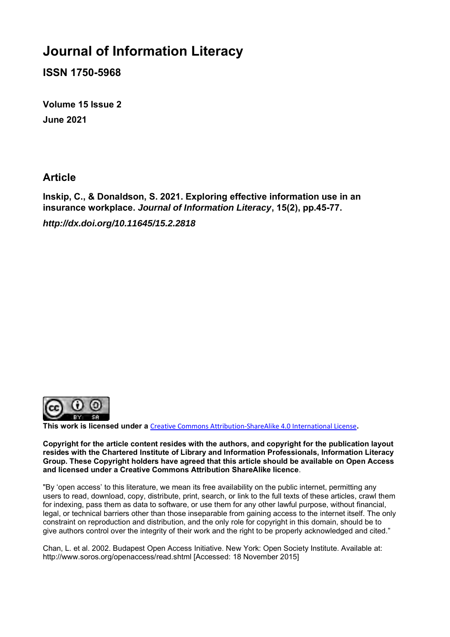# **Journal of Information Literacy**

**ISSN 1750-5968**

**Volume 15 Issue 2 June 2021**

## **Article**

**Inskip, C., & Donaldson, S. 2021. Exploring effective information use in an insurance workplace.** *Journal of Information Literacy***, 15(2), pp.45-77.** *http://dx.doi.org/10.11645/15.2.2818*



**This work is licensed under a** [Creative Commons Attribution-ShareAlike 4.0 International License](http://creativecommons.org/licenses/by-sa/4.0/)**.**

**Copyright for the article content resides with the authors, and copyright for the publication layout resides with the Chartered Institute of Library and Information Professionals, Information Literacy Group. These Copyright holders have agreed that this article should be available on Open Access and licensed under a Creative Commons Attribution ShareAlike licence**.

"By 'open access' to this literature, we mean its free availability on the public internet, permitting any users to read, download, copy, distribute, print, search, or link to the full texts of these articles, crawl them for indexing, pass them as data to software, or use them for any other lawful purpose, without financial, legal, or technical barriers other than those inseparable from gaining access to the internet itself. The only constraint on reproduction and distribution, and the only role for copyright in this domain, should be to give authors control over the integrity of their work and the right to be properly acknowledged and cited."

Chan, L. et al. 2002. Budapest Open Access Initiative. New York: Open Society Institute. Available at: http://www.soros.org/openaccess/read.shtml [Accessed: 18 November 2015]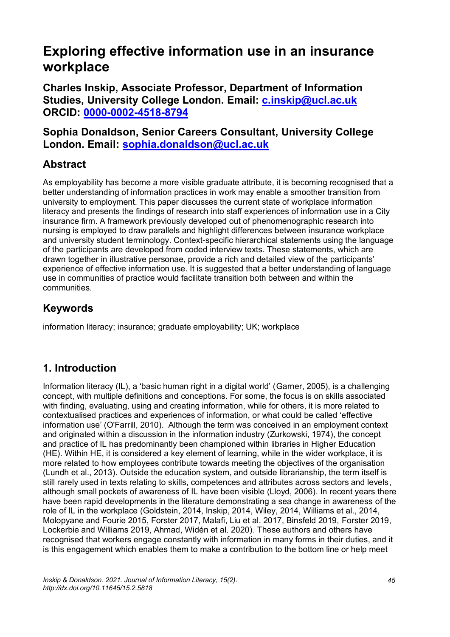# **Exploring effective information use in an insurance workplace**

**Charles Inskip, Associate Professor, Department of Information Studies, University College London. Email: [c.inskip@ucl.ac.uk](mailto:c.inskip@ucl.ac.uk) ORCID: [0000-0002-4518-8794](https://orcid.org/0000-0002-4518-8794)**

**Sophia Donaldson, Senior Careers Consultant, University College London. Email: [sophia.donaldson@ucl.ac.uk](mailto:sophia.donaldson@ucl.ac.uk)**

# **Abstract**

As employability has become a more visible graduate attribute, it is becoming recognised that a better understanding of information practices in work may enable a smoother transition from university to employment. This paper discusses the current state of workplace information literacy and presents the findings of research into staff experiences of information use in a City insurance firm. A framework previously developed out of phenomenographic research into nursing is employed to draw parallels and highlight differences between insurance workplace and university student terminology. Context-specific hierarchical statements using the language of the participants are developed from coded interview texts. These statements, which are drawn together in illustrative personae, provide a rich and detailed view of the participants' experience of effective information use. It is suggested that a better understanding of language use in communities of practice would facilitate transition both between and within the communities.

## **Keywords**

information literacy; insurance; graduate employability; UK; workplace

# **1. Introduction**

Information literacy (IL), a 'basic human right in a digital world' (Garner, 2005), is a challenging concept, with multiple definitions and conceptions. For some, the focus is on skills associated with finding, evaluating, using and creating information, while for others, it is more related to contextualised practices and experiences of information, or what could be called 'effective information use' (O'Farrill, 2010). Although the term was conceived in an employment context and originated within a discussion in the information industry (Zurkowski, 1974), the concept and practice of IL has predominantly been championed within libraries in Higher Education (HE). Within HE, it is considered a key element of learning, while in the wider workplace, it is more related to how employees contribute towards meeting the objectives of the organisation (Lundh et al., 2013). Outside the education system, and outside librarianship, the term itself is still rarely used in texts relating to skills, competences and attributes across sectors and levels, although small pockets of awareness of IL have been visible (Lloyd, 2006). In recent years there have been rapid developments in the literature demonstrating a sea change in awareness of the role of IL in the workplace (Goldstein, 2014, Inskip, 2014, Wiley, 2014, Williams et al., 2014, Molopyane and Fourie 2015, Forster 2017, Malafi, Liu et al. 2017, Binsfeld 2019, Forster 2019, Lockerbie and Williams 2019, Ahmad, Widén et al. 2020). These authors and others have recognised that workers engage constantly with information in many forms in their duties, and it is this engagement which enables them to make a contribution to the bottom line or help meet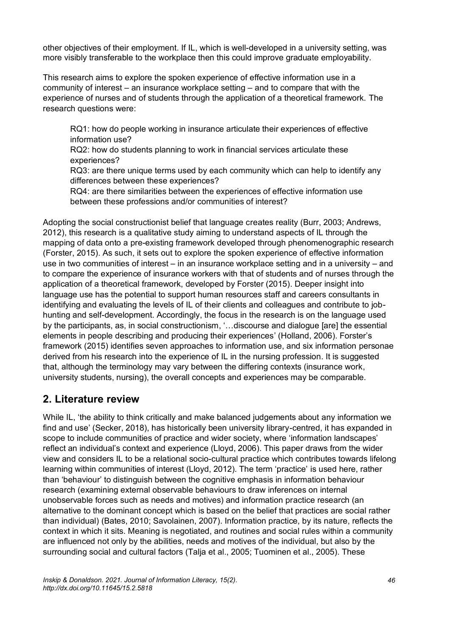other objectives of their employment. If IL, which is well-developed in a university setting, was more visibly transferable to the workplace then this could improve graduate employability.

This research aims to explore the spoken experience of effective information use in a community of interest – an insurance workplace setting – and to compare that with the experience of nurses and of students through the application of a theoretical framework. The research questions were:

RQ1: how do people working in insurance articulate their experiences of effective information use?

RQ2: how do students planning to work in financial services articulate these experiences?

RQ3: are there unique terms used by each community which can help to identify any differences between these experiences?

RQ4: are there similarities between the experiences of effective information use between these professions and/or communities of interest?

Adopting the social constructionist belief that language creates reality (Burr, 2003; Andrews, 2012), this research is a qualitative study aiming to understand aspects of IL through the mapping of data onto a pre-existing framework developed through phenomenographic research (Forster, 2015). As such, it sets out to explore the spoken experience of effective information use in two communities of interest – in an insurance workplace setting and in a university – and to compare the experience of insurance workers with that of students and of nurses through the application of a theoretical framework, developed by Forster (2015). Deeper insight into language use has the potential to support human resources staff and careers consultants in identifying and evaluating the levels of IL of their clients and colleagues and contribute to jobhunting and self-development. Accordingly, the focus in the research is on the language used by the participants, as, in social constructionism, '…discourse and dialogue [are] the essential elements in people describing and producing their experiences' (Holland, 2006). Forster's framework (2015) identifies seven approaches to information use, and six information personae derived from his research into the experience of IL in the nursing profession. It is suggested that, although the terminology may vary between the differing contexts (insurance work, university students, nursing), the overall concepts and experiences may be comparable.

### **2. Literature review**

While IL, 'the ability to think critically and make balanced judgements about any information we find and use' (Secker, 2018), has historically been university library-centred, it has expanded in scope to include communities of practice and wider society, where 'information landscapes' reflect an individual's context and experience (Lloyd, 2006). This paper draws from the wider view and considers IL to be a relational socio-cultural practice which contributes towards lifelong learning within communities of interest (Lloyd, 2012). The term 'practice' is used here, rather than 'behaviour' to distinguish between the cognitive emphasis in information behaviour research (examining external observable behaviours to draw inferences on internal unobservable forces such as needs and motives) and information practice research (an alternative to the dominant concept which is based on the belief that practices are social rather than individual) (Bates, 2010; Savolainen, 2007). Information practice, by its nature, reflects the context in which it sits. Meaning is negotiated, and routines and social rules within a community are influenced not only by the abilities, needs and motives of the individual, but also by the surrounding social and cultural factors (Talja et al., 2005; Tuominen et al., 2005). These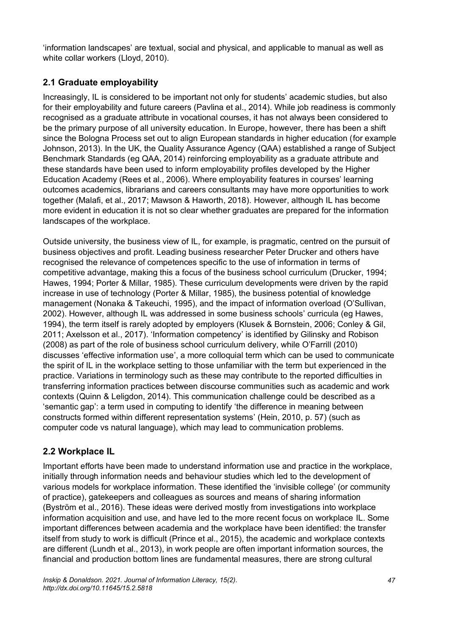'information landscapes' are textual, social and physical, and applicable to manual as well as white collar workers (Lloyd, 2010).

### **2.1 Graduate employability**

Increasingly, IL is considered to be important not only for students' academic studies, but also for their employability and future careers (Pavlina et al., 2014). While job readiness is commonly recognised as a graduate attribute in vocational courses, it has not always been considered to be the primary purpose of all university education. In Europe, however, there has been a shift since the Bologna Process set out to align European standards in higher education (for example Johnson, 2013). In the UK, the Quality Assurance Agency (QAA) established a range of Subject Benchmark Standards (eg QAA, 2014) reinforcing employability as a graduate attribute and these standards have been used to inform employability profiles developed by the Higher Education Academy (Rees et al., 2006). Where employability features in courses' learning outcomes academics, librarians and careers consultants may have more opportunities to work together (Malafi, et al., 2017; Mawson & Haworth, 2018). However, although IL has become more evident in education it is not so clear whether graduates are prepared for the information landscapes of the workplace.

Outside university, the business view of IL, for example, is pragmatic, centred on the pursuit of business objectives and profit. Leading business researcher Peter Drucker and others have recognised the relevance of competences specific to the use of information in terms of competitive advantage, making this a focus of the business school curriculum (Drucker, 1994; Hawes, 1994; Porter & Millar, 1985). These curriculum developments were driven by the rapid increase in use of technology (Porter & Millar, 1985), the business potential of knowledge management (Nonaka & Takeuchi, 1995), and the impact of information overload (O'Sullivan, 2002). However, although IL was addressed in some business schools' curricula (eg Hawes, 1994), the term itself is rarely adopted by employers (Klusek & Bornstein, 2006; Conley & Gil, 2011; Axelsson et al., 2017). 'Information competency' is identified by Gilinsky and Robison (2008) as part of the role of business school curriculum delivery, while O'Farrill (2010) discusses 'effective information use', a more colloquial term which can be used to communicate the spirit of IL in the workplace setting to those unfamiliar with the term but experienced in the practice. Variations in terminology such as these may contribute to the reported difficulties in transferring information practices between discourse communities such as academic and work contexts (Quinn & Leligdon, 2014). This communication challenge could be described as a 'semantic gap': a term used in computing to identify 'the difference in meaning between constructs formed within different representation systems' (Hein, 2010, p. 57) (such as computer code vs natural language), which may lead to communication problems.

### **2.2 Workplace IL**

Important efforts have been made to understand information use and practice in the workplace, initially through information needs and behaviour studies which led to the development of various models for workplace information. These identified the 'invisible college' (or community of practice), gatekeepers and colleagues as sources and means of sharing information (Byström et al., 2016). These ideas were derived mostly from investigations into workplace information acquisition and use, and have led to the more recent focus on workplace IL. Some important differences between academia and the workplace have been identified: the transfer itself from study to work is difficult (Prince et al., 2015), the academic and workplace contexts are different (Lundh et al., 2013), in work people are often important information sources, the financial and production bottom lines are fundamental measures, there are strong cultural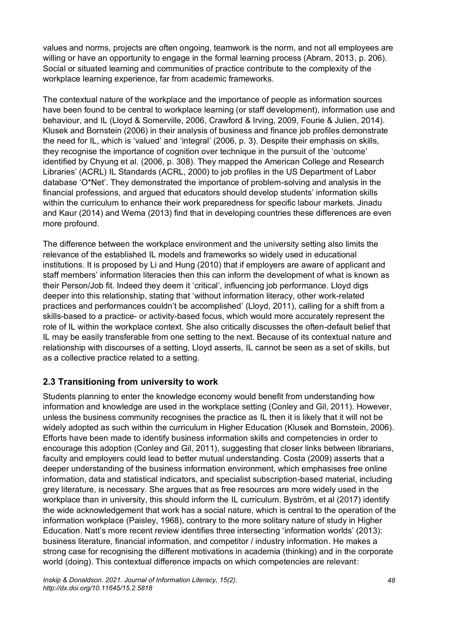values and norms, projects are often ongoing, teamwork is the norm, and not all employees are willing or have an opportunity to engage in the formal learning process (Abram, 2013, p. 206). Social or situated learning and communities of practice contribute to the complexity of the workplace learning experience, far from academic frameworks.

The contextual nature of the workplace and the importance of people as information sources have been found to be central to workplace learning (or staff development), information use and behaviour, and IL (Lloyd & Somerville, 2006, Crawford & Irving, 2009, Fourie & Julien, 2014). Klusek and Bornstein (2006) in their analysis of business and finance job profiles demonstrate the need for IL, which is 'valued' and 'integral' (2006, p. 3). Despite their emphasis on skills, they recognise the importance of cognition over technique in the pursuit of the 'outcome' identified by Chyung et al. (2006, p. 308). They mapped the American College and Research Libraries' (ACRL) IL Standards (ACRL, 2000) to job profiles in the US Department of Labor database 'O\*Net'. They demonstrated the importance of problem-solving and analysis in the financial professions, and argued that educators should develop students' information skills within the curriculum to enhance their work preparedness for specific labour markets. Jinadu and Kaur (2014) and Wema (2013) find that in developing countries these differences are even more profound.

The difference between the workplace environment and the university setting also limits the relevance of the established IL models and frameworks so widely used in educational institutions. It is proposed by Li and Hung (2010) that if employers are aware of applicant and staff members' information literacies then this can inform the development of what is known as their Person/Job fit. Indeed they deem it 'critical', influencing job performance. Lloyd digs deeper into this relationship, stating that 'without information literacy, other work-related practices and performances couldn't be accomplished' (Lloyd, 2011), calling for a shift from a skills-based to a practice- or activity-based focus, which would more accurately represent the role of IL within the workplace context. She also critically discusses the often-default belief that IL may be easily transferable from one setting to the next. Because of its contextual nature and relationship with discourses of a setting, Lloyd asserts, IL cannot be seen as a set of skills, but as a collective practice related to a setting.

### **2.3 Transitioning from university to work**

Students planning to enter the knowledge economy would benefit from understanding how information and knowledge are used in the workplace setting (Conley and Gil, 2011). However, unless the business community recognises the practice as IL then it is likely that it will not be widely adopted as such within the curriculum in Higher Education (Klusek and Bornstein, 2006). Efforts have been made to identify business information skills and competencies in order to encourage this adoption (Conley and Gil, 2011), suggesting that closer links between librarians, faculty and employers could lead to better mutual understanding. Costa (2009) asserts that a deeper understanding of the business information environment, which emphasises free online information, data and statistical indicators, and specialist subscription-based material, including grey literature, is necessary. She argues that as free resources are more widely used in the workplace than in university, this should inform the IL curriculum. Byström, et al (2017) identify the wide acknowledgement that work has a social nature, which is central to the operation of the information workplace (Paisley, 1968), contrary to the more solitary nature of study in Higher Education. Natt's more recent review identifies three intersecting 'information worlds' (2013): business literature, financial information, and competitor / industry information. He makes a strong case for recognising the different motivations in academia (thinking) and in the corporate world (doing). This contextual difference impacts on which competencies are relevant: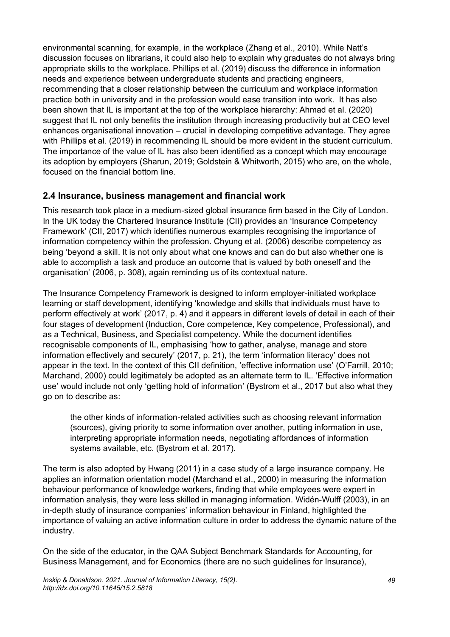environmental scanning, for example, in the workplace (Zhang et al., 2010). While Natt's discussion focuses on librarians, it could also help to explain why graduates do not always bring appropriate skills to the workplace. Phillips et al. (2019) discuss the difference in information needs and experience between undergraduate students and practicing engineers, recommending that a closer relationship between the curriculum and workplace information practice both in university and in the profession would ease transition into work. It has also been shown that IL is important at the top of the workplace hierarchy: Ahmad et al. (2020) suggest that IL not only benefits the institution through increasing productivity but at CEO level enhances organisational innovation – crucial in developing competitive advantage. They agree with Phillips et al. (2019) in recommending IL should be more evident in the student curriculum. The importance of the value of IL has also been identified as a concept which may encourage its adoption by employers (Sharun, 2019; Goldstein & Whitworth, 2015) who are, on the whole, focused on the financial bottom line.

#### **2.4 Insurance, business management and financial work**

This research took place in a medium-sized global insurance firm based in the City of London. In the UK today the Chartered Insurance Institute (CII) provides an 'Insurance Competency Framework' (CII, 2017) which identifies numerous examples recognising the importance of information competency within the profession. Chyung et al. (2006) describe competency as being 'beyond a skill. It is not only about what one knows and can do but also whether one is able to accomplish a task and produce an outcome that is valued by both oneself and the organisation' (2006, p. 308), again reminding us of its contextual nature.

The Insurance Competency Framework is designed to inform employer-initiated workplace learning or staff development, identifying 'knowledge and skills that individuals must have to perform effectively at work' (2017, p. 4) and it appears in different levels of detail in each of their four stages of development (Induction, Core competence, Key competence, Professional), and as a Technical, Business, and Specialist competency. While the document identifies recognisable components of IL, emphasising 'how to gather, analyse, manage and store information effectively and securely' (2017, p. 21), the term 'information literacy' does not appear in the text. In the context of this CII definition, 'effective information use' (O'Farrill, 2010; Marchand, 2000) could legitimately be adopted as an alternate term to IL. 'Effective information use' would include not only 'getting hold of information' (Bystrom et al., 2017 but also what they go on to describe as:

the other kinds of information-related activities such as choosing relevant information (sources), giving priority to some information over another, putting information in use, interpreting appropriate information needs, negotiating affordances of information systems available, etc. (Bystrom et al. 2017).

The term is also adopted by Hwang (2011) in a case study of a large insurance company. He applies an information orientation model (Marchand et al., 2000) in measuring the information behaviour performance of knowledge workers, finding that while employees were expert in information analysis, they were less skilled in managing information. Widén-Wulff (2003), in an in-depth study of insurance companies' information behaviour in Finland, highlighted the importance of valuing an active information culture in order to address the dynamic nature of the industry.

On the side of the educator, in the QAA Subject Benchmark Standards for Accounting, for Business Management, and for Economics (there are no such guidelines for Insurance),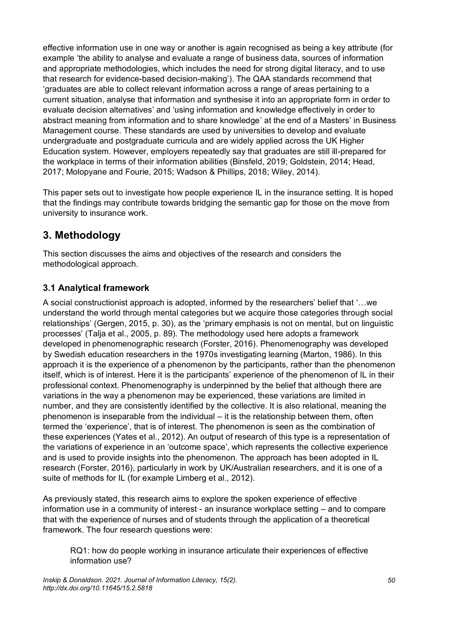effective information use in one way or another is again recognised as being a key attribute (for example 'the ability to analyse and evaluate a range of business data, sources of information and appropriate methodologies, which includes the need for strong digital literacy, and to use that research for evidence-based decision-making'). The QAA standards recommend that 'graduates are able to collect relevant information across a range of areas pertaining to a current situation, analyse that information and synthesise it into an appropriate form in order to evaluate decision alternatives' and 'using information and knowledge effectively in order to abstract meaning from information and to share knowledge' at the end of a Masters' in Business Management course. These standards are used by universities to develop and evaluate undergraduate and postgraduate curricula and are widely applied across the UK Higher Education system. However, employers repeatedly say that graduates are still ill-prepared for the workplace in terms of their information abilities (Binsfeld, 2019; Goldstein, 2014; Head, 2017; Molopyane and Fourie, 2015; Wadson & Phillips, 2018; Wiley, 2014).

This paper sets out to investigate how people experience IL in the insurance setting. It is hoped that the findings may contribute towards bridging the semantic gap for those on the move from university to insurance work.

# **3. Methodology**

This section discusses the aims and objectives of the research and considers the methodological approach.

### **3.1 Analytical framework**

A social constructionist approach is adopted, informed by the researchers' belief that '…we understand the world through mental categories but we acquire those categories through social relationships' (Gergen, 2015, p. 30), as the 'primary emphasis is not on mental, but on linguistic processes' (Talja et al., 2005, p. 89). The methodology used here adopts a framework developed in phenomenographic research (Forster, 2016). Phenomenography was developed by Swedish education researchers in the 1970s investigating learning (Marton, 1986). In this approach it is the experience of a phenomenon by the participants, rather than the phenomenon itself, which is of interest. Here it is the participants' experience of the phenomenon of IL in their professional context. Phenomenography is underpinned by the belief that although there are variations in the way a phenomenon may be experienced, these variations are limited in number, and they are consistently identified by the collective. It is also relational, meaning the phenomenon is inseparable from the individual – it is the relationship between them, often termed the 'experience', that is of interest. The phenomenon is seen as the combination of these experiences (Yates et al., 2012). An output of research of this type is a representation of the variations of experience in an 'outcome space', which represents the collective experience and is used to provide insights into the phenomenon. The approach has been adopted in IL research (Forster, 2016), particularly in work by UK/Australian researchers, and it is one of a suite of methods for IL (for example Limberg et al., 2012).

As previously stated, this research aims to explore the spoken experience of effective information use in a community of interest - an insurance workplace setting – and to compare that with the experience of nurses and of students through the application of a theoretical framework. The four research questions were:

RQ1: how do people working in insurance articulate their experiences of effective information use?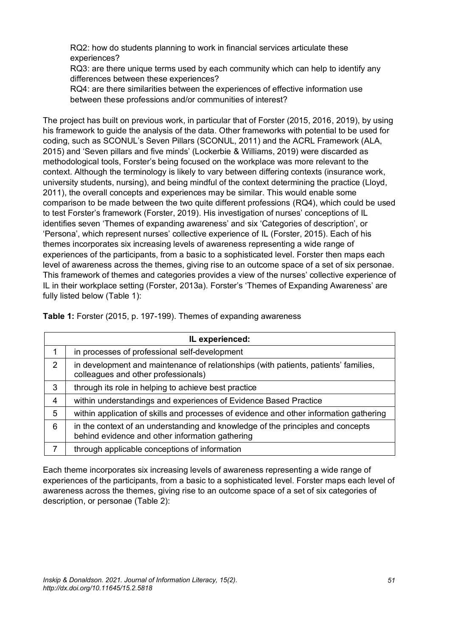RQ2: how do students planning to work in financial services articulate these experiences?

RQ3: are there unique terms used by each community which can help to identify any differences between these experiences?

RQ4: are there similarities between the experiences of effective information use between these professions and/or communities of interest?

The project has built on previous work, in particular that of Forster (2015, 2016, 2019), by using his framework to guide the analysis of the data. Other frameworks with potential to be used for coding, such as SCONUL's Seven Pillars (SCONUL, 2011) and the ACRL Framework (ALA, 2015) and 'Seven pillars and five minds' (Lockerbie & Williams, 2019) were discarded as methodological tools, Forster's being focused on the workplace was more relevant to the context. Although the terminology is likely to vary between differing contexts (insurance work, university students, nursing), and being mindful of the context determining the practice (Lloyd, 2011), the overall concepts and experiences may be similar. This would enable some comparison to be made between the two quite different professions (RQ4), which could be used to test Forster's framework (Forster, 2019). His investigation of nurses' conceptions of IL identifies seven 'Themes of expanding awareness' and six 'Categories of description', or 'Persona', which represent nurses' collective experience of IL (Forster, 2015). Each of his themes incorporates six increasing levels of awareness representing a wide range of experiences of the participants, from a basic to a sophisticated level. Forster then maps each level of awareness across the themes, giving rise to an outcome space of a set of six personae. This framework of themes and categories provides a view of the nurses' collective experience of IL in their workplace setting (Forster, 2013a). Forster's 'Themes of Expanding Awareness' are fully listed below (Table 1):

**Table 1:** Forster (2015, p. 197-199). Themes of expanding awareness

| IL experienced: |                                                                                                                                    |  |  |
|-----------------|------------------------------------------------------------------------------------------------------------------------------------|--|--|
| 1               | in processes of professional self-development                                                                                      |  |  |
| $\overline{2}$  | in development and maintenance of relationships (with patients, patients' families,<br>colleagues and other professionals)         |  |  |
| 3               | through its role in helping to achieve best practice                                                                               |  |  |
| $\overline{4}$  | within understandings and experiences of Evidence Based Practice                                                                   |  |  |
| 5               | within application of skills and processes of evidence and other information gathering                                             |  |  |
| 6               | in the context of an understanding and knowledge of the principles and concepts<br>behind evidence and other information gathering |  |  |
| 7               | through applicable conceptions of information                                                                                      |  |  |

Each theme incorporates six increasing levels of awareness representing a wide range of experiences of the participants, from a basic to a sophisticated level. Forster maps each level of awareness across the themes, giving rise to an outcome space of a set of six categories of description, or personae (Table 2):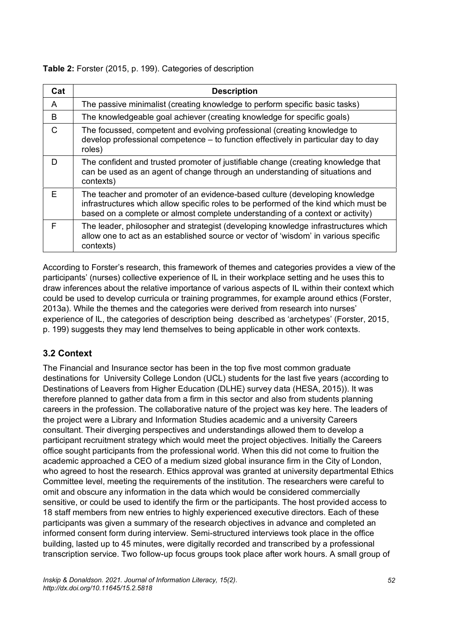| Cat          | <b>Description</b>                                                                                                                                                                                                                                    |
|--------------|-------------------------------------------------------------------------------------------------------------------------------------------------------------------------------------------------------------------------------------------------------|
| A            | The passive minimalist (creating knowledge to perform specific basic tasks)                                                                                                                                                                           |
| B            | The knowledgeable goal achiever (creating knowledge for specific goals)                                                                                                                                                                               |
| $\mathsf{C}$ | The focussed, competent and evolving professional (creating knowledge to<br>develop professional competence - to function effectively in particular day to day<br>roles)                                                                              |
| D            | The confident and trusted promoter of justifiable change (creating knowledge that<br>can be used as an agent of change through an understanding of situations and<br>contexts)                                                                        |
| E            | The teacher and promoter of an evidence-based culture (developing knowledge<br>infrastructures which allow specific roles to be performed of the kind which must be<br>based on a complete or almost complete understanding of a context or activity) |
| F            | The leader, philosopher and strategist (developing knowledge infrastructures which<br>allow one to act as an established source or vector of 'wisdom' in various specific<br>contexts)                                                                |

According to Forster's research, this framework of themes and categories provides a view of the participants' (nurses) collective experience of IL in their workplace setting and he uses this to draw inferences about the relative importance of various aspects of IL within their context which could be used to develop curricula or training programmes, for example around ethics (Forster, 2013a). While the themes and the categories were derived from research into nurses' experience of IL, the categories of description being described as 'archetypes' (Forster, 2015, p. 199) suggests they may lend themselves to being applicable in other work contexts.

### **3.2 Context**

The Financial and Insurance sector has been in the top five most common graduate destinations for University College London (UCL) students for the last five years (according to Destinations of Leavers from Higher Education (DLHE) survey data (HESA, 2015)). It was therefore planned to gather data from a firm in this sector and also from students planning careers in the profession. The collaborative nature of the project was key here. The leaders of the project were a Library and Information Studies academic and a university Careers consultant. Their diverging perspectives and understandings allowed them to develop a participant recruitment strategy which would meet the project objectives. Initially the Careers office sought participants from the professional world. When this did not come to fruition the academic approached a CEO of a medium sized global insurance firm in the City of London, who agreed to host the research. Ethics approval was granted at university departmental Ethics Committee level, meeting the requirements of the institution. The researchers were careful to omit and obscure any information in the data which would be considered commercially sensitive, or could be used to identify the firm or the participants. The host provided access to 18 staff members from new entries to highly experienced executive directors. Each of these participants was given a summary of the research objectives in advance and completed an informed consent form during interview. Semi-structured interviews took place in the office building, lasted up to 45 minutes, were digitally recorded and transcribed by a professional transcription service. Two follow-up focus groups took place after work hours. A small group of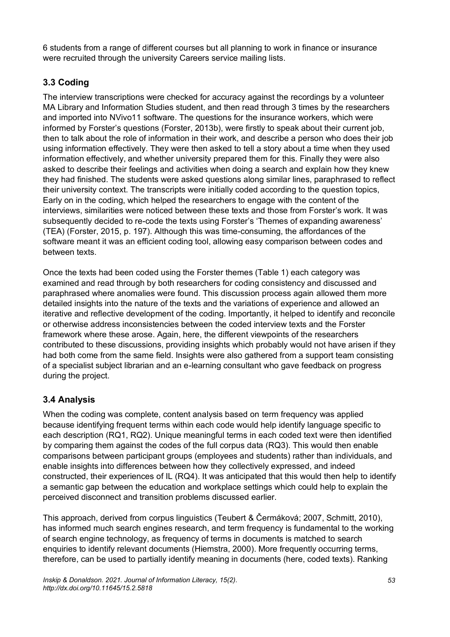6 students from a range of different courses but all planning to work in finance or insurance were recruited through the university Careers service mailing lists.

### **3.3 Coding**

The interview transcriptions were checked for accuracy against the recordings by a volunteer MA Library and Information Studies student, and then read through 3 times by the researchers and imported into NVivo11 software. The questions for the insurance workers, which were informed by Forster's questions (Forster, 2013b), were firstly to speak about their current job, then to talk about the role of information in their work, and describe a person who does their job using information effectively. They were then asked to tell a story about a time when they used information effectively, and whether university prepared them for this. Finally they were also asked to describe their feelings and activities when doing a search and explain how they knew they had finished. The students were asked questions along similar lines, paraphrased to reflect their university context. The transcripts were initially coded according to the question topics, Early on in the coding, which helped the researchers to engage with the content of the interviews, similarities were noticed between these texts and those from Forster's work. It was subsequently decided to re-code the texts using Forster's 'Themes of expanding awareness' (TEA) (Forster, 2015, p. 197). Although this was time-consuming, the affordances of the software meant it was an efficient coding tool, allowing easy comparison between codes and between texts.

Once the texts had been coded using the Forster themes (Table 1) each category was examined and read through by both researchers for coding consistency and discussed and paraphrased where anomalies were found. This discussion process again allowed them more detailed insights into the nature of the texts and the variations of experience and allowed an iterative and reflective development of the coding. Importantly, it helped to identify and reconcile or otherwise address inconsistencies between the coded interview texts and the Forster framework where these arose. Again, here, the different viewpoints of the researchers contributed to these discussions, providing insights which probably would not have arisen if they had both come from the same field. Insights were also gathered from a support team consisting of a specialist subject librarian and an e-learning consultant who gave feedback on progress during the project.

### **3.4 Analysis**

When the coding was complete, content analysis based on term frequency was applied because identifying frequent terms within each code would help identify language specific to each description (RQ1, RQ2). Unique meaningful terms in each coded text were then identified by comparing them against the codes of the full corpus data (RQ3). This would then enable comparisons between participant groups (employees and students) rather than individuals, and enable insights into differences between how they collectively expressed, and indeed constructed, their experiences of IL (RQ4). It was anticipated that this would then help to identify a semantic gap between the education and workplace settings which could help to explain the perceived disconnect and transition problems discussed earlier.

This approach, derived from corpus linguistics (Teubert & Čermáková; 2007, Schmitt, 2010), has informed much search engines research, and term frequency is fundamental to the working of search engine technology, as frequency of terms in documents is matched to search enquiries to identify relevant documents (Hiemstra, 2000). More frequently occurring terms, therefore, can be used to partially identify meaning in documents (here, coded texts). Ranking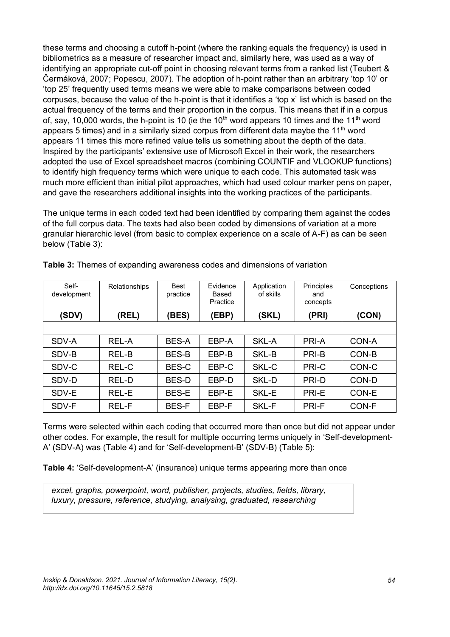these terms and choosing a cutoff h-point (where the ranking equals the frequency) is used in bibliometrics as a measure of researcher impact and, similarly here, was used as a way of identifying an appropriate cut-off point in choosing relevant terms from a ranked list (Teubert & Čermáková, 2007; Popescu, 2007). The adoption of h-point rather than an arbitrary 'top 10' or 'top 25' frequently used terms means we were able to make comparisons between coded corpuses, because the value of the h-point is that it identifies a 'top x' list which is based on the actual frequency of the terms and their proportion in the corpus. This means that if in a corpus of, say, 10,000 words, the h-point is 10 (ie the 10<sup>th</sup> word appears 10 times and the 11<sup>th</sup> word appears 5 times) and in a similarly sized corpus from different data maybe the 11<sup>th</sup> word appears 11 times this more refined value tells us something about the depth of the data. Inspired by the participants' extensive use of Microsoft Excel in their work, the researchers adopted the use of Excel spreadsheet macros (combining COUNTIF and VLOOKUP functions) to identify high frequency terms which were unique to each code. This automated task was much more efficient than initial pilot approaches, which had used colour marker pens on paper, and gave the researchers additional insights into the working practices of the participants.

The unique terms in each coded text had been identified by comparing them against the codes of the full corpus data. The texts had also been coded by dimensions of variation at a more granular hierarchic level (from basic to complex experience on a scale of A-F) as can be seen below (Table 3):

| Self-<br>development | Relationships | <b>Best</b><br>practice | Evidence<br>Based<br>Practice | Application<br>of skills | Principles<br>and<br>concepts | Conceptions |
|----------------------|---------------|-------------------------|-------------------------------|--------------------------|-------------------------------|-------------|
| (SDV)                | (REL)         | (BES)                   | (EBP)                         | (SKL)                    | (PRI)                         | (CON)       |
|                      |               |                         |                               |                          |                               |             |
| SDV-A                | <b>REL-A</b>  | <b>BES-A</b>            | EBP-A                         | SKL-A                    | PRI-A                         | CON-A       |
| SDV-B                | <b>REL-B</b>  | <b>BES-B</b>            | EBP-B                         | SKL-B                    | PRI-B                         | CON-B       |
| SDV-C                | REL-C         | BES-C                   | EBP-C                         | SKL-C                    | PRI-C                         | CON-C       |
| SDV-D                | REL-D         | <b>BES-D</b>            | EBP-D                         | SKL-D                    | PRI-D                         | CON-D       |
| SDV-E                | <b>REL-E</b>  | <b>BES-E</b>            | EBP-E                         | SKL-E                    | PRI-E                         | CON-E       |
| SDV-F                | <b>REL-F</b>  | <b>BES-F</b>            | EBP-F                         | SKL-F                    | PRI-F                         | CON-F       |

**Table 3:** Themes of expanding awareness codes and dimensions of variation

Terms were selected within each coding that occurred more than once but did not appear under other codes. For example, the result for multiple occurring terms uniquely in 'Self-development-A' (SDV-A) was (Table 4) and for 'Self-development-B' (SDV-B) (Table 5):

**Table 4:** 'Self-development-A' (insurance) unique terms appearing more than once

*excel, graphs, powerpoint, word, publisher, projects, studies, fields, library, luxury, pressure, reference, studying, analysing, graduated, researching*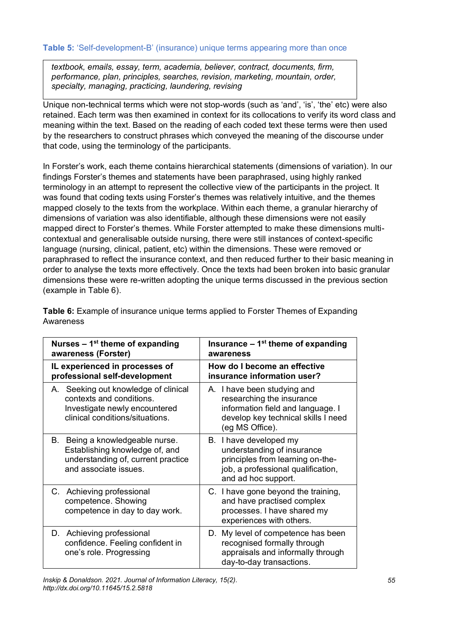*textbook, emails, essay, term, academia, believer, contract, documents, firm, performance, plan, principles, searches, revision, marketing, mountain, order, specialty, managing, practicing, laundering, revising*

Unique non-technical terms which were not stop-words (such as 'and', 'is', 'the' etc) were also retained. Each term was then examined in context for its collocations to verify its word class and meaning within the text. Based on the reading of each coded text these terms were then used by the researchers to construct phrases which conveyed the meaning of the discourse under that code, using the terminology of the participants.

In Forster's work, each theme contains hierarchical statements (dimensions of variation). In our findings Forster's themes and statements have been paraphrased, using highly ranked terminology in an attempt to represent the collective view of the participants in the project. It was found that coding texts using Forster's themes was relatively intuitive, and the themes mapped closely to the texts from the workplace. Within each theme, a granular hierarchy of dimensions of variation was also identifiable, although these dimensions were not easily mapped direct to Forster's themes. While Forster attempted to make these dimensions multicontextual and generalisable outside nursing, there were still instances of context-specific language (nursing, clinical, patient, etc) within the dimensions. These were removed or paraphrased to reflect the insurance context, and then reduced further to their basic meaning in order to analyse the texts more effectively. Once the texts had been broken into basic granular dimensions these were re-written adopting the unique terms discussed in the previous section (example in Table 6).

| Nurses $-1st$ theme of expanding<br>awareness (Forster)                                                                              | Insurance $-1st$ theme of expanding<br>awareness                                                                                                        |  |  |
|--------------------------------------------------------------------------------------------------------------------------------------|---------------------------------------------------------------------------------------------------------------------------------------------------------|--|--|
| IL experienced in processes of<br>professional self-development                                                                      | How do I become an effective<br>insurance information user?                                                                                             |  |  |
| A. Seeking out knowledge of clinical<br>contexts and conditions.<br>Investigate newly encountered<br>clinical conditions/situations. | A. I have been studying and<br>researching the insurance<br>information field and language. I<br>develop key technical skills I need<br>(eg MS Office). |  |  |
| B. Being a knowledgeable nurse.<br>Establishing knowledge of, and<br>understanding of, current practice<br>and associate issues.     | B. I have developed my<br>understanding of insurance<br>principles from learning on-the-<br>job, a professional qualification,<br>and ad hoc support.   |  |  |
| C. Achieving professional<br>competence. Showing<br>competence in day to day work.                                                   | C. I have gone beyond the training,<br>and have practised complex<br>processes. I have shared my<br>experiences with others.                            |  |  |
| D. Achieving professional<br>confidence. Feeling confident in<br>one's role. Progressing                                             | D. My level of competence has been<br>recognised formally through<br>appraisals and informally through<br>day-to-day transactions.                      |  |  |

**Table 6:** Example of insurance unique terms applied to Forster Themes of Expanding Awareness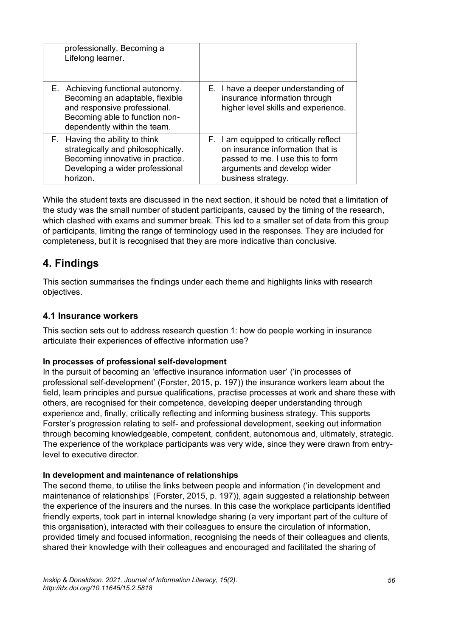| professionally. Becoming a<br>Lifelong learner.                                                                                                                        |                                                                                                                                                                     |
|------------------------------------------------------------------------------------------------------------------------------------------------------------------------|---------------------------------------------------------------------------------------------------------------------------------------------------------------------|
| E. Achieving functional autonomy.<br>Becoming an adaptable, flexible<br>and responsive professional.<br>Becoming able to function non-<br>dependently within the team. | E. I have a deeper understanding of<br>insurance information through<br>higher level skills and experience.                                                         |
| F. Having the ability to think<br>strategically and philosophically.<br>Becoming innovative in practice.<br>Developing a wider professional<br>horizon.                | F. I am equipped to critically reflect<br>on insurance information that is<br>passed to me. I use this to form<br>arguments and develop wider<br>business strategy. |

While the student texts are discussed in the next section, it should be noted that a limitation of the study was the small number of student participants, caused by the timing of the research, which clashed with exams and summer break. This led to a smaller set of data from this group of participants, limiting the range of terminology used in the responses. They are included for completeness, but it is recognised that they are more indicative than conclusive.

### **4. Findings**

This section summarises the findings under each theme and highlights links with research objectives.

#### **4.1 Insurance workers**

This section sets out to address research question 1: how do people working in insurance articulate their experiences of effective information use?

#### **In processes of professional self-development**

In the pursuit of becoming an 'effective insurance information user' ('in processes of professional self-development' (Forster, 2015, p. 197)) the insurance workers learn about the field, learn principles and pursue qualifications, practise processes at work and share these with others, are recognised for their competence, developing deeper understanding through experience and, finally, critically reflecting and informing business strategy. This supports Forster's progression relating to self- and professional development, seeking out information through becoming knowledgeable, competent, confident, autonomous and, ultimately, strategic. The experience of the workplace participants was very wide, since they were drawn from entrylevel to executive director.

#### **In development and maintenance of relationships**

The second theme, to utilise the links between people and information ('in development and maintenance of relationships' (Forster, 2015, p. 197)), again suggested a relationship between the experience of the insurers and the nurses. In this case the workplace participants identified friendly experts, took part in internal knowledge sharing (a very important part of the culture of this organisation), interacted with their colleagues to ensure the circulation of information, provided timely and focused information, recognising the needs of their colleagues and clients, shared their knowledge with their colleagues and encouraged and facilitated the sharing of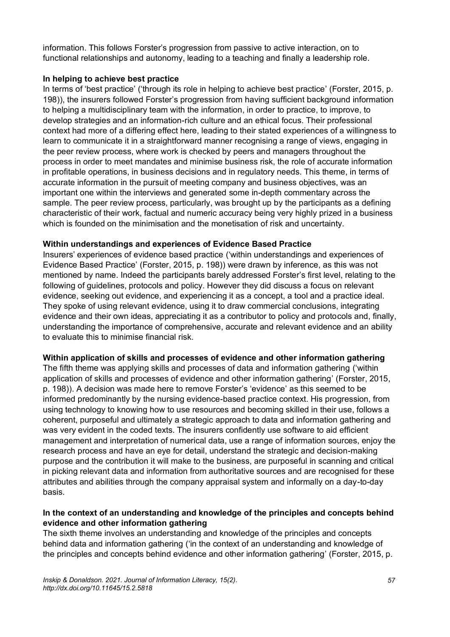information. This follows Forster's progression from passive to active interaction, on to functional relationships and autonomy, leading to a teaching and finally a leadership role.

#### **In helping to achieve best practice**

In terms of 'best practice' ('through its role in helping to achieve best practice' (Forster, 2015, p. 198)), the insurers followed Forster's progression from having sufficient background information to helping a multidisciplinary team with the information, in order to practice, to improve, to develop strategies and an information-rich culture and an ethical focus. Their professional context had more of a differing effect here, leading to their stated experiences of a willingness to learn to communicate it in a straightforward manner recognising a range of views, engaging in the peer review process, where work is checked by peers and managers throughout the process in order to meet mandates and minimise business risk, the role of accurate information in profitable operations, in business decisions and in regulatory needs. This theme, in terms of accurate information in the pursuit of meeting company and business objectives, was an important one within the interviews and generated some in-depth commentary across the sample. The peer review process, particularly, was brought up by the participants as a defining characteristic of their work, factual and numeric accuracy being very highly prized in a business which is founded on the minimisation and the monetisation of risk and uncertainty.

#### **Within understandings and experiences of Evidence Based Practice**

Insurers' experiences of evidence based practice ('within understandings and experiences of Evidence Based Practice' (Forster, 2015, p. 198)) were drawn by inference, as this was not mentioned by name. Indeed the participants barely addressed Forster's first level, relating to the following of guidelines, protocols and policy. However they did discuss a focus on relevant evidence, seeking out evidence, and experiencing it as a concept, a tool and a practice ideal. They spoke of using relevant evidence, using it to draw commercial conclusions, integrating evidence and their own ideas, appreciating it as a contributor to policy and protocols and, finally, understanding the importance of comprehensive, accurate and relevant evidence and an ability to evaluate this to minimise financial risk.

#### **Within application of skills and processes of evidence and other information gathering**

The fifth theme was applying skills and processes of data and information gathering ('within application of skills and processes of evidence and other information gathering' (Forster, 2015, p. 198)). A decision was made here to remove Forster's 'evidence' as this seemed to be informed predominantly by the nursing evidence-based practice context. His progression, from using technology to knowing how to use resources and becoming skilled in their use, follows a coherent, purposeful and ultimately a strategic approach to data and information gathering and was very evident in the coded texts. The insurers confidently use software to aid efficient management and interpretation of numerical data, use a range of information sources, enjoy the research process and have an eye for detail, understand the strategic and decision-making purpose and the contribution it will make to the business, are purposeful in scanning and critical in picking relevant data and information from authoritative sources and are recognised for these attributes and abilities through the company appraisal system and informally on a day-to-day basis.

#### **In the context of an understanding and knowledge of the principles and concepts behind evidence and other information gathering**

The sixth theme involves an understanding and knowledge of the principles and concepts behind data and information gathering ('in the context of an understanding and knowledge of the principles and concepts behind evidence and other information gathering' (Forster, 2015, p.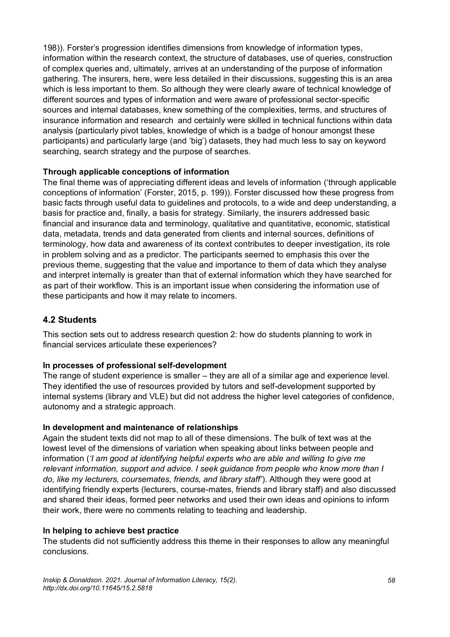198)). Forster's progression identifies dimensions from knowledge of information types, information within the research context, the structure of databases, use of queries, construction of complex queries and, ultimately, arrives at an understanding of the purpose of information gathering. The insurers, here, were less detailed in their discussions, suggesting this is an area which is less important to them. So although they were clearly aware of technical knowledge of different sources and types of information and were aware of professional sector-specific sources and internal databases, knew something of the complexities, terms, and structures of insurance information and research and certainly were skilled in technical functions within data analysis (particularly pivot tables, knowledge of which is a badge of honour amongst these participants) and particularly large (and 'big') datasets, they had much less to say on keyword searching, search strategy and the purpose of searches.

#### **Through applicable conceptions of information**

The final theme was of appreciating different ideas and levels of information ('through applicable conceptions of information' (Forster, 2015, p. 199)). Forster discussed how these progress from basic facts through useful data to guidelines and protocols, to a wide and deep understanding, a basis for practice and, finally, a basis for strategy. Similarly, the insurers addressed basic financial and insurance data and terminology, qualitative and quantitative, economic, statistical data, metadata, trends and data generated from clients and internal sources, definitions of terminology, how data and awareness of its context contributes to deeper investigation, its role in problem solving and as a predictor. The participants seemed to emphasis this over the previous theme, suggesting that the value and importance to them of data which they analyse and interpret internally is greater than that of external information which they have searched for as part of their workflow. This is an important issue when considering the information use of these participants and how it may relate to incomers.

#### **4.2 Students**

This section sets out to address research question 2: how do students planning to work in financial services articulate these experiences?

#### **In processes of professional self-development**

The range of student experience is smaller – they are all of a similar age and experience level. They identified the use of resources provided by tutors and self-development supported by internal systems (library and VLE) but did not address the higher level categories of confidence, autonomy and a strategic approach.

#### **In development and maintenance of relationships**

Again the student texts did not map to all of these dimensions. The bulk of text was at the lowest level of the dimensions of variation when speaking about links between people and information (*'I am good at identifying helpful experts who are able and willing to give me relevant information, support and advice. I seek guidance from people who know more than I do, like my lecturers, coursemates, friends, and library staff'*). Although they were good at identifying friendly experts (lecturers, course-mates, friends and library staff) and also discussed and shared their ideas, formed peer networks and used their own ideas and opinions to inform their work, there were no comments relating to teaching and leadership.

#### **In helping to achieve best practice**

The students did not sufficiently address this theme in their responses to allow any meaningful conclusions.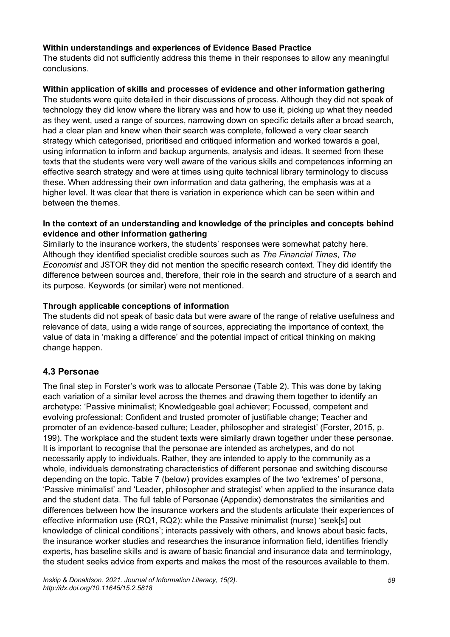#### **Within understandings and experiences of Evidence Based Practice**

The students did not sufficiently address this theme in their responses to allow any meaningful conclusions.

#### **Within application of skills and processes of evidence and other information gathering**

The students were quite detailed in their discussions of process. Although they did not speak of technology they did know where the library was and how to use it, picking up what they needed as they went, used a range of sources, narrowing down on specific details after a broad search, had a clear plan and knew when their search was complete, followed a very clear search strategy which categorised, prioritised and critiqued information and worked towards a goal, using information to inform and backup arguments, analysis and ideas. It seemed from these texts that the students were very well aware of the various skills and competences informing an effective search strategy and were at times using quite technical library terminology to discuss these. When addressing their own information and data gathering, the emphasis was at a higher level. It was clear that there is variation in experience which can be seen within and between the themes.

#### **In the context of an understanding and knowledge of the principles and concepts behind evidence and other information gathering**

Similarly to the insurance workers, the students' responses were somewhat patchy here. Although they identified specialist credible sources such as *The Financial Times*, *The Economist* and JSTOR they did not mention the specific research context. They did identify the difference between sources and, therefore, their role in the search and structure of a search and its purpose. Keywords (or similar) were not mentioned.

#### **Through applicable conceptions of information**

The students did not speak of basic data but were aware of the range of relative usefulness and relevance of data, using a wide range of sources, appreciating the importance of context, the value of data in 'making a difference' and the potential impact of critical thinking on making change happen.

#### **4.3 Personae**

The final step in Forster's work was to allocate Personae (Table 2). This was done by taking each variation of a similar level across the themes and drawing them together to identify an archetype: 'Passive minimalist; Knowledgeable goal achiever; Focussed, competent and evolving professional; Confident and trusted promoter of justifiable change; Teacher and promoter of an evidence-based culture; Leader, philosopher and strategist' (Forster, 2015, p. 199). The workplace and the student texts were similarly drawn together under these personae. It is important to recognise that the personae are intended as archetypes, and do not necessarily apply to individuals. Rather, they are intended to apply to the community as a whole, individuals demonstrating characteristics of different personae and switching discourse depending on the topic. Table 7 (below) provides examples of the two 'extremes' of persona, 'Passive minimalist' and 'Leader, philosopher and strategist' when applied to the insurance data and the student data. The full table of Personae (Appendix) demonstrates the similarities and differences between how the insurance workers and the students articulate their experiences of effective information use (RQ1, RQ2): while the Passive minimalist (nurse) 'seek[s] out knowledge of clinical conditions'; interacts passively with others, and knows about basic facts, the insurance worker studies and researches the insurance information field, identifies friendly experts, has baseline skills and is aware of basic financial and insurance data and terminology, the student seeks advice from experts and makes the most of the resources available to them.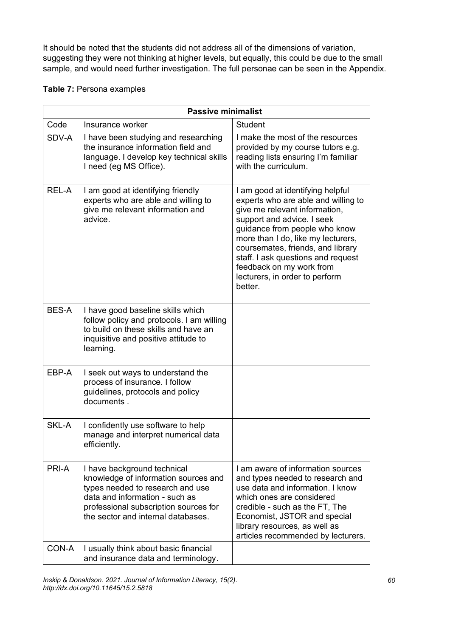It should be noted that the students did not address all of the dimensions of variation, suggesting they were not thinking at higher levels, but equally, this could be due to the small sample, and would need further investigation. The full personae can be seen in the Appendix.

#### **Table 7:** Persona examples

|              | <b>Passive minimalist</b>                                                                                                                                                                                                |                                                                                                                                                                                                                                                                                                                                                                   |  |  |  |
|--------------|--------------------------------------------------------------------------------------------------------------------------------------------------------------------------------------------------------------------------|-------------------------------------------------------------------------------------------------------------------------------------------------------------------------------------------------------------------------------------------------------------------------------------------------------------------------------------------------------------------|--|--|--|
| Code         | Insurance worker                                                                                                                                                                                                         | <b>Student</b>                                                                                                                                                                                                                                                                                                                                                    |  |  |  |
| SDV-A        | I have been studying and researching<br>the insurance information field and<br>language. I develop key technical skills<br>I need (eg MS Office).                                                                        | I make the most of the resources<br>provided by my course tutors e.g.<br>reading lists ensuring I'm familiar<br>with the curriculum.                                                                                                                                                                                                                              |  |  |  |
| REL-A        | I am good at identifying friendly<br>experts who are able and willing to<br>give me relevant information and<br>advice.                                                                                                  | I am good at identifying helpful<br>experts who are able and willing to<br>give me relevant information,<br>support and advice. I seek<br>guidance from people who know<br>more than I do, like my lecturers,<br>coursemates, friends, and library<br>staff. I ask questions and request<br>feedback on my work from<br>lecturers, in order to perform<br>better. |  |  |  |
| <b>BES-A</b> | I have good baseline skills which<br>follow policy and protocols. I am willing<br>to build on these skills and have an<br>inquisitive and positive attitude to<br>learning.                                              |                                                                                                                                                                                                                                                                                                                                                                   |  |  |  |
| EBP-A        | I seek out ways to understand the<br>process of insurance. I follow<br>quidelines, protocols and policy<br>documents.                                                                                                    |                                                                                                                                                                                                                                                                                                                                                                   |  |  |  |
| <b>SKL-A</b> | I confidently use software to help<br>manage and interpret numerical data<br>efficiently.                                                                                                                                |                                                                                                                                                                                                                                                                                                                                                                   |  |  |  |
| PRI-A        | I have background technical<br>knowledge of information sources and<br>types needed to research and use<br>data and information - such as<br>professional subscription sources for<br>the sector and internal databases. | I am aware of information sources<br>and types needed to research and<br>use data and information. I know<br>which ones are considered<br>credible - such as the FT, The<br>Economist, JSTOR and special<br>library resources, as well as<br>articles recommended by lecturers.                                                                                   |  |  |  |
| CON-A        | I usually think about basic financial<br>and insurance data and terminology.                                                                                                                                             |                                                                                                                                                                                                                                                                                                                                                                   |  |  |  |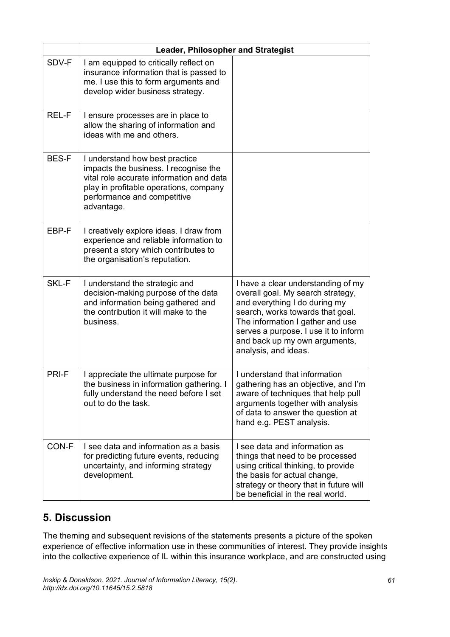|              | <b>Leader, Philosopher and Strategist</b>                                                                                                                                                                  |                                                                                                                                                                                                                                                                                   |  |  |  |
|--------------|------------------------------------------------------------------------------------------------------------------------------------------------------------------------------------------------------------|-----------------------------------------------------------------------------------------------------------------------------------------------------------------------------------------------------------------------------------------------------------------------------------|--|--|--|
| SDV-F        | I am equipped to critically reflect on<br>insurance information that is passed to<br>me. I use this to form arguments and<br>develop wider business strategy.                                              |                                                                                                                                                                                                                                                                                   |  |  |  |
| REL-F        | I ensure processes are in place to<br>allow the sharing of information and<br>ideas with me and others.                                                                                                    |                                                                                                                                                                                                                                                                                   |  |  |  |
| <b>BES-F</b> | I understand how best practice<br>impacts the business. I recognise the<br>vital role accurate information and data<br>play in profitable operations, company<br>performance and competitive<br>advantage. |                                                                                                                                                                                                                                                                                   |  |  |  |
| EBP-F        | I creatively explore ideas. I draw from<br>experience and reliable information to<br>present a story which contributes to<br>the organisation's reputation.                                                |                                                                                                                                                                                                                                                                                   |  |  |  |
| SKL-F        | I understand the strategic and<br>decision-making purpose of the data<br>and information being gathered and<br>the contribution it will make to the<br>business.                                           | I have a clear understanding of my<br>overall goal. My search strategy,<br>and everything I do during my<br>search, works towards that goal.<br>The information I gather and use<br>serves a purpose. I use it to inform<br>and back up my own arguments,<br>analysis, and ideas. |  |  |  |
| PRI-F        | I appreciate the ultimate purpose for<br>the business in information gathering. I<br>fully understand the need before I set<br>out to do the task.                                                         | I understand that information<br>gathering has an objective, and I'm<br>aware of techniques that help pull<br>arguments together with analysis<br>of data to answer the question at<br>hand e.g. PEST analysis.                                                                   |  |  |  |
| CON-F        | I see data and information as a basis<br>for predicting future events, reducing<br>uncertainty, and informing strategy<br>development.                                                                     | I see data and information as<br>things that need to be processed<br>using critical thinking, to provide<br>the basis for actual change,<br>strategy or theory that in future will<br>be beneficial in the real world.                                                            |  |  |  |

# **5. Discussion**

The theming and subsequent revisions of the statements presents a picture of the spoken experience of effective information use in these communities of interest. They provide insights into the collective experience of IL within this insurance workplace, and are constructed using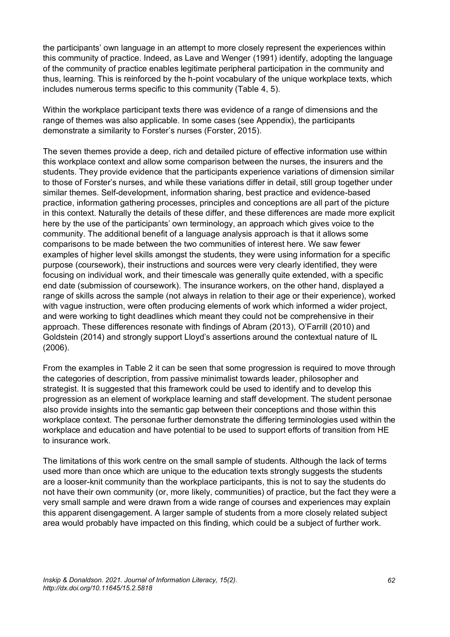the participants' own language in an attempt to more closely represent the experiences within this community of practice. Indeed, as Lave and Wenger (1991) identify, adopting the language of the community of practice enables legitimate peripheral participation in the community and thus, learning. This is reinforced by the h-point vocabulary of the unique workplace texts, which includes numerous terms specific to this community (Table 4, 5).

Within the workplace participant texts there was evidence of a range of dimensions and the range of themes was also applicable. In some cases (see Appendix), the participants demonstrate a similarity to Forster's nurses (Forster, 2015).

The seven themes provide a deep, rich and detailed picture of effective information use within this workplace context and allow some comparison between the nurses, the insurers and the students. They provide evidence that the participants experience variations of dimension similar to those of Forster's nurses, and while these variations differ in detail, still group together under similar themes. Self-development, information sharing, best practice and evidence-based practice, information gathering processes, principles and conceptions are all part of the picture in this context. Naturally the details of these differ, and these differences are made more explicit here by the use of the participants' own terminology, an approach which gives voice to the community. The additional benefit of a language analysis approach is that it allows some comparisons to be made between the two communities of interest here. We saw fewer examples of higher level skills amongst the students, they were using information for a specific purpose (coursework), their instructions and sources were very clearly identified, they were focusing on individual work, and their timescale was generally quite extended, with a specific end date (submission of coursework). The insurance workers, on the other hand, displayed a range of skills across the sample (not always in relation to their age or their experience), worked with vague instruction, were often producing elements of work which informed a wider project, and were working to tight deadlines which meant they could not be comprehensive in their approach. These differences resonate with findings of Abram (2013), O'Farrill (2010) and Goldstein (2014) and strongly support Lloyd's assertions around the contextual nature of IL (2006).

From the examples in Table 2 it can be seen that some progression is required to move through the categories of description, from passive minimalist towards leader, philosopher and strategist. It is suggested that this framework could be used to identify and to develop this progression as an element of workplace learning and staff development. The student personae also provide insights into the semantic gap between their conceptions and those within this workplace context. The personae further demonstrate the differing terminologies used within the workplace and education and have potential to be used to support efforts of transition from HE to insurance work.

The limitations of this work centre on the small sample of students. Although the lack of terms used more than once which are unique to the education texts strongly suggests the students are a looser-knit community than the workplace participants, this is not to say the students do not have their own community (or, more likely, communities) of practice, but the fact they were a very small sample and were drawn from a wide range of courses and experiences may explain this apparent disengagement. A larger sample of students from a more closely related subject area would probably have impacted on this finding, which could be a subject of further work.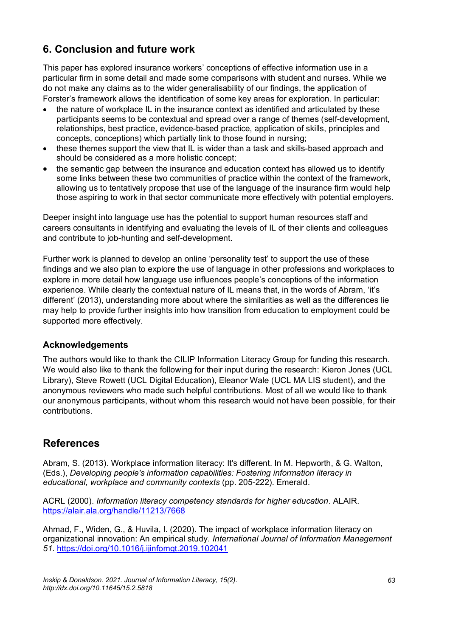# **6. Conclusion and future work**

This paper has explored insurance workers' conceptions of effective information use in a particular firm in some detail and made some comparisons with student and nurses. While we do not make any claims as to the wider generalisability of our findings, the application of Forster's framework allows the identification of some key areas for exploration. In particular:

- the nature of workplace IL in the insurance context as identified and articulated by these participants seems to be contextual and spread over a range of themes (self-development, relationships, best practice, evidence-based practice, application of skills, principles and concepts, conceptions) which partially link to those found in nursing;
- these themes support the view that IL is wider than a task and skills-based approach and should be considered as a more holistic concept;
- the semantic gap between the insurance and education context has allowed us to identify some links between these two communities of practice within the context of the framework, allowing us to tentatively propose that use of the language of the insurance firm would help those aspiring to work in that sector communicate more effectively with potential employers.

Deeper insight into language use has the potential to support human resources staff and careers consultants in identifying and evaluating the levels of IL of their clients and colleagues and contribute to job-hunting and self-development.

Further work is planned to develop an online 'personality test' to support the use of these findings and we also plan to explore the use of language in other professions and workplaces to explore in more detail how language use influences people's conceptions of the information experience. While clearly the contextual nature of IL means that, in the words of Abram, 'it's different' (2013), understanding more about where the similarities as well as the differences lie may help to provide further insights into how transition from education to employment could be supported more effectively.

### **Acknowledgements**

The authors would like to thank the CILIP Information Literacy Group for funding this research. We would also like to thank the following for their input during the research: Kieron Jones (UCL Library), Steve Rowett (UCL Digital Education), Eleanor Wale (UCL MA LIS student), and the anonymous reviewers who made such helpful contributions. Most of all we would like to thank our anonymous participants, without whom this research would not have been possible, for their contributions.

### **References**

Abram, S. (2013). Workplace information literacy: It's different. In M. Hepworth, & G. Walton, (Eds.), *Developing people's information capabilities: Fostering information literacy in educational, workplace and community contexts* (pp. 205-222). Emerald.

ACRL (2000). *Information literacy competency standards for higher education*. ALAIR. <https://alair.ala.org/handle/11213/7668>

Ahmad, F., Widen, G., & Huvila, I. (2020). The impact of workplace information literacy on organizational innovation: An empirical study. *International Journal of Information Management 51*. <https://doi.org/10.1016/j.ijinfomgt.2019.102041>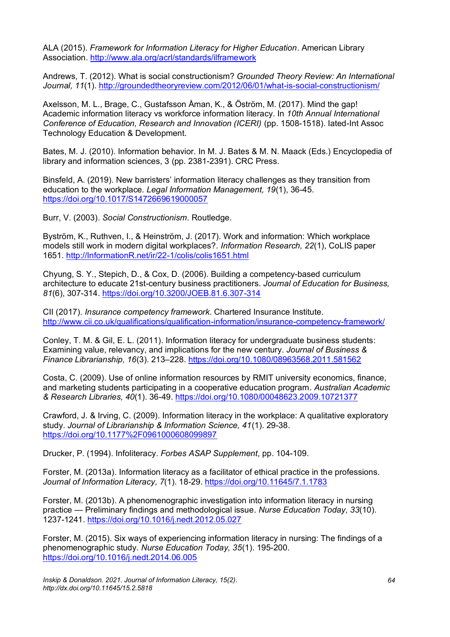ALA (2015). *Framework for Information Literacy for Higher Education*. American Library Association. <http://www.ala.org/acrl/standards/ilframework>

Andrews, T. (2012). What is social constructionism? *Grounded Theory Review: An International Journal, 11*(1).<http://groundedtheoryreview.com/2012/06/01/what-is-social-constructionism/>

Axelsson, M. L., Brage, C., Gustafsson Åman, K., & Öström, M. (2017). Mind the gap! Academic information literacy vs workforce information literacy. In *10th Annual International Conference of Education, Research and Innovation (ICERI)* (pp. 1508-1518). Iated-Int Assoc Technology Education & Development.

Bates, M. J. (2010). Information behavior. In M. J. Bates & M. N. Maack (Eds.) Encyclopedia of library and information sciences, 3 (pp. 2381-2391). CRC Press.

Binsfeld, A. (2019). New barristers' information literacy challenges as they transition from education to the workplace*. Legal Information Management, 19*(1), 36-45. <https://doi.org/10.1017/S1472669619000057>

Burr, V. (2003). *Social Constructionism*. Routledge.

Byström, K., Ruthven, I., & Heinström, J. (2017). Work and information: Which workplace models still work in modern digital workplaces?. *Information Research, 22*(1), CoLIS paper 1651. [http://InformationR.net/ir/22-1/colis/colis1651.html](http://informationr.net/ir/22-1/colis/colis1651.html) 

Chyung, S. Y., Stepich, D., & Cox, D. (2006). Building a competency-based curriculum architecture to educate 21st-century business practitioners. *Journal of Education for Business, 81*(6), 307-314. <https://doi.org/10.3200/JOEB.81.6.307-314>

CII (2017). *Insurance competency framework*. Chartered Insurance Institute. <http://www.cii.co.uk/qualifications/qualification-information/insurance-competency-framework/>

Conley, T. M. & Gil, E. L. (2011). Information literacy for undergraduate business students: Examining value, relevancy, and implications for the new century. *Journal of Business & Finance Librarianship, 16*(3). 213–228. <https://doi.org/10.1080/08963568.2011.581562>

Costa, C. (2009). Use of online information resources by RMIT university economics, finance, and marketing students participating in a cooperative education program. *Australian Academic & Research Libraries, 40*(1). 36-49. <https://doi.org/10.1080/00048623.2009.10721377>

Crawford, J. & Irving, C. (2009). Information literacy in the workplace: A qualitative exploratory study. *Journal of Librarianship & Information Science, 41*(1). 29-38. <https://doi.org/10.1177%2F0961000608099897>

Drucker, P. (1994). Infoliteracy. *Forbes ASAP Supplement*, pp. 104-109.

Forster, M. (2013a). Information literacy as a facilitator of ethical practice in the professions. *Journal of Information Literacy, 7*(1). 18-29. <https://doi.org/10.11645/7.1.1783>

Forster, M. (2013b). A phenomenographic investigation into information literacy in nursing practice — Preliminary findings and methodological issue. *Nurse Education Today, 33*(10). 1237-1241. <https://doi.org/10.1016/j.nedt.2012.05.027>

Forster, M. (2015). Six ways of experiencing information literacy in nursing: The findings of a phenomenographic study. *Nurse Education Today, 35*(1). 195-200. <https://doi.org/10.1016/j.nedt.2014.06.005>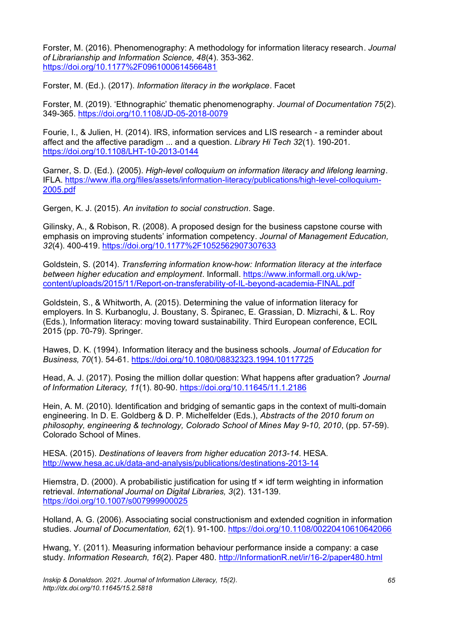Forster, M. (2016). Phenomenography: A methodology for information literacy research. *Journal of Librarianship and Information Science, 48*(4). 353-362. <https://doi.org/10.1177%2F0961000614566481>

Forster, M. (Ed.). (2017). *Information literacy in the workplace*. Facet

Forster, M. (2019). 'Ethnographic' thematic phenomenography. *Journal of Documentation 75*(2). 349-365. <https://doi.org/10.1108/JD-05-2018-0079>

Fourie, I., & Julien, H. (2014). IRS, information services and LIS research - a reminder about affect and the affective paradigm ... and a question. *Library Hi Tech 32*(1). 190-201. <https://doi.org/10.1108/LHT-10-2013-0144>

Garner, S. D. (Ed.). (2005). *High-level colloquium on information literacy and lifelong learning*. IFLA. [https://www.ifla.org/files/assets/information-literacy/publications/high-level-colloquium-](https://www.ifla.org/files/assets/information-literacy/publications/high-level-colloquium-2005.pdf)[2005.pdf](https://www.ifla.org/files/assets/information-literacy/publications/high-level-colloquium-2005.pdf)

Gergen, K. J. (2015). *An invitation to social construction*. Sage.

Gilinsky, A., & Robison, R. (2008). A proposed design for the business capstone course with emphasis on improving students' information competency. *Journal of Management Education, 32*(4). 400-419. <https://doi.org/10.1177%2F1052562907307633>

Goldstein, S. (2014). *Transferring information know-how: Information literacy at the interface between higher education and employment*. Informall. [https://www.informall.org.uk/wp](https://www.informall.org.uk/wp-content/uploads/2015/11/Report-on-transferability-of-IL-beyond-academia-FINAL.pdf)[content/uploads/2015/11/Report-on-transferability-of-IL-beyond-academia-FINAL.pdf](https://www.informall.org.uk/wp-content/uploads/2015/11/Report-on-transferability-of-IL-beyond-academia-FINAL.pdf)

Goldstein, S., & Whitworth, A. (2015). Determining the value of information literacy for employers. In S. Kurbanoglu, J. Boustany, S. Špiranec, E. Grassian, D. Mizrachi, & L. Roy (Eds.), Information literacy: moving toward sustainability. Third European conference, ECIL 2015 (pp. 70-79). Springer.

Hawes, D. K. (1994). Information literacy and the business schools. *Journal of Education for Business, 70*(1). 54-61. <https://doi.org/10.1080/08832323.1994.10117725>

Head, A. J. (2017). Posing the million dollar question: What happens after graduation? *Journal of Information Literacy, 11*(1). 80-90. <https://doi.org/10.11645/11.1.2186>

Hein, A. M. (2010). Identification and bridging of semantic gaps in the context of multi-domain engineering. In D. E. Goldberg & D. P. Michelfelder (Eds.), *Abstracts of the 2010 forum on philosophy, engineering & technology, Colorado School of Mines May 9-10, 2010*, (pp. 57-59). Colorado School of Mines.

HESA. (2015). *Destinations of leavers from higher education 2013-14*. HESA. <http://www.hesa.ac.uk/data-and-analysis/publications/destinations-2013-14>

Hiemstra, D. (2000). A probabilistic justification for using  $f(x)$  idf term weighting in information retrieval. *International Journal on Digital Libraries, 3*(2). 131-139. <https://doi.org/10.1007/s007999900025>

Holland, A. G. (2006). Associating social constructionism and extended cognition in information studies. *Journal of Documentation, 62*(1). 91-100.<https://doi.org/10.1108/00220410610642066>

Hwang, Y. (2011). Measuring information behaviour performance inside a company: a case study. *Information Research, 16*(2). Paper 480. [http://InformationR.net/ir/16-2/paper480.html](http://informationr.net/ir/16-2/paper480.html)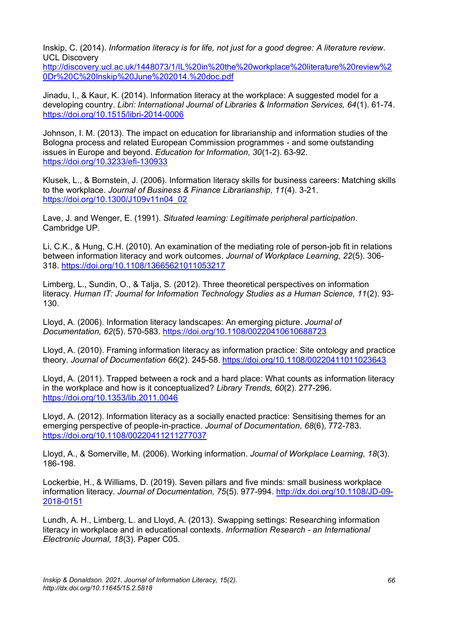Inskip, C. (2014). *Information literacy is for life, not just for a good degree: A literature review*. UCL Discovery

[http://discovery.ucl.ac.uk/1448073/1/IL%20in%20the%20workplace%20literature%20review%2](http://discovery.ucl.ac.uk/1448073/1/IL%20in%20the%20workplace%20literature%20review%20Dr%20C%20Inskip%20June%202014.%20doc.pdf) [0Dr%20C%20Inskip%20June%202014.%20doc.pdf](http://discovery.ucl.ac.uk/1448073/1/IL%20in%20the%20workplace%20literature%20review%20Dr%20C%20Inskip%20June%202014.%20doc.pdf)

Jinadu, I., & Kaur, K. (2014). Information literacy at the workplace: A suggested model for a developing country. *Libri: International Journal of Libraries & Information Services, 64*(1). 61-74. <https://doi.org/10.1515/libri-2014-0006>

Johnson, I. M. (2013). The impact on education for librarianship and information studies of the Bologna process and related European Commission programmes - and some outstanding issues in Europe and beyond. *Education for Information, 30*(1-2). 63-92. <https://doi.org/10.3233/efi-130933>

Klusek, L., & Bornstein, J. (2006). Information literacy skills for business careers: Matching skills to the workplace. *Journal of Business & Finance Librarianship, 11*(4). 3-21. [https://doi.org/10.1300/J109v11n04\\_02](https://doi.org/10.1300/J109v11n04_02)

Lave, J. and Wenger, E. (1991). *Situated learning: Legitimate peripheral participation*. Cambridge UP.

Li, C.K., & Hung, C.H. (2010). An examination of the mediating role of person-job fit in relations between information literacy and work outcomes. *Journal of Workplace Learning, 22*(5). 306- 318. <https://doi.org/10.1108/13665621011053217>

Limberg, L., Sundin, O., & Talja, S. (2012). Three theoretical perspectives on information literacy. *Human IT: Journal for Information Technology Studies as a Human Science, 11*(2). 93- 130.

Lloyd, A. (2006). Information literacy landscapes: An emerging picture. *Journal of Documentation, 62*(5). 570-583. <https://doi.org/10.1108/00220410610688723>

Lloyd, A. (2010). Framing information literacy as information practice: Site ontology and practice theory. *Journal of Documentation 66*(2). 245-58. <https://doi.org/10.1108/00220411011023643>

Lloyd, A. (2011). Trapped between a rock and a hard place: What counts as information literacy in the workplace and how is it conceptualized? *Library Trends, 60*(2). 277-296. <https://doi.org/10.1353/lib.2011.0046>

Lloyd, A. (2012). Information literacy as a socially enacted practice: Sensitising themes for an emerging perspective of people-in-practice. *Journal of Documentation, 68*(6), 772-783. <https://doi.org/10.1108/00220411211277037>

Lloyd, A., & Somerville, M. (2006). Working information. *Journal of Workplace Learning, 18*(3). 186-198.

Lockerbie, H., & Williams, D. (2019). Seven pillars and five minds: small business workplace information literacy. *Journal of Documentation, 75*(5). 977-994. [http://dx.doi.org/10.1108/JD-09-](http://dx.doi.org/10.1108/JD-09-2018-0151) [2018-0151](http://dx.doi.org/10.1108/JD-09-2018-0151)

Lundh, A. H., Limberg, L. and Lloyd, A. (2013). Swapping settings: Researching information literacy in workplace and in educational contexts. *Information Research - an International Electronic Journal, 18*(3). Paper C05.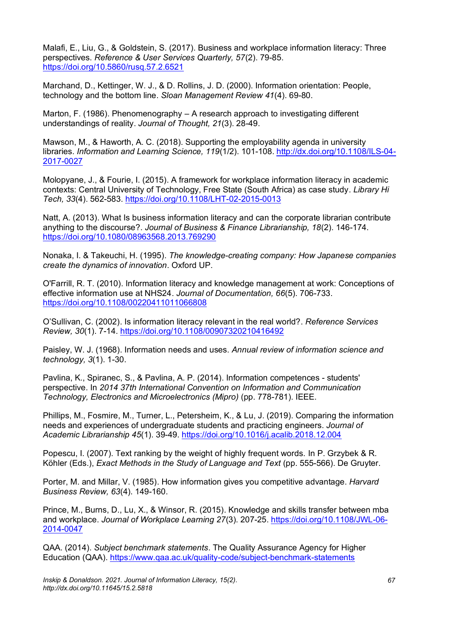Malafi, E., Liu, G., & Goldstein, S. (2017). Business and workplace information literacy: Three perspectives. *Reference & User Services Quarterly, 57*(2). 79-85. <https://doi.org/10.5860/rusq.57.2.6521>

Marchand, D., Kettinger, W. J., & D. Rollins, J. D. (2000). Information orientation: People, technology and the bottom line. *Sloan Management Review 41*(4). 69-80.

Marton, F. (1986). Phenomenography – A research approach to investigating different understandings of reality. *Journal of Thought, 21*(3). 28-49.

Mawson, M., & Haworth, A. C. (2018). Supporting the employability agenda in university libraries. *Information and Learning Science, 119*(1/2). 101-108. [http://dx.doi.org/10.1108/ILS-04-](http://dx.doi.org/10.1108/ILS-04-2017-0027) [2017-0027](http://dx.doi.org/10.1108/ILS-04-2017-0027)

Molopyane, J., & Fourie, I. (2015). A framework for workplace information literacy in academic contexts: Central University of Technology, Free State (South Africa) as case study. *Library Hi Tech, 33*(4). 562-583. <https://doi.org/10.1108/LHT-02-2015-0013>

Natt, A. (2013). What Is business information literacy and can the corporate librarian contribute anything to the discourse?. *Journal of Business & Finance Librarianship, 18*(2). 146-174. <https://doi.org/10.1080/08963568.2013.769290>

Nonaka, I. & Takeuchi, H. (1995). *The knowledge-creating company: How Japanese companies create the dynamics of innovation*. Oxford UP.

O'Farrill, R. T. (2010). Information literacy and knowledge management at work: Conceptions of effective information use at NHS24. *Journal of Documentation, 66*(5). 706-733. <https://doi.org/10.1108/00220411011066808>

O'Sullivan, C. (2002). Is information literacy relevant in the real world?. *Reference Services Review, 30*(1). 7-14. <https://doi.org/10.1108/00907320210416492>

Paisley, W. J. (1968). Information needs and uses. *Annual review of information science and technology, 3*(1). 1-30.

Pavlina, K., Spiranec, S., & Pavlina, A. P. (2014). Information competences - students' perspective. In *2014 37th International Convention on Information and Communication Technology, Electronics and Microelectronics (Mipro)* (pp. 778-781). IEEE.

Phillips, M., Fosmire, M., Turner, L., Petersheim, K., & Lu, J. (2019). Comparing the information needs and experiences of undergraduate students and practicing engineers. *Journal of Academic Librarianship 45*(1). 39-49. <https://doi.org/10.1016/j.acalib.2018.12.004>

Popescu, I. (2007). Text ranking by the weight of highly frequent words. In P. Grzybek & R. Köhler (Eds.), *Exact Methods in the Study of Language and Text* (pp. 555-566). De Gruyter.

Porter, M. and Millar, V. (1985). How information gives you competitive advantage. *Harvard Business Review, 63*(4). 149-160.

Prince, M., Burns, D., Lu, X., & Winsor, R. (2015). Knowledge and skills transfer between mba and workplace. *Journal of Workplace Learning 27*(3). 207-25. [https://doi.org/10.1108/JWL-06-](https://doi.org/10.1108/JWL-06-2014-0047) [2014-0047](https://doi.org/10.1108/JWL-06-2014-0047)

QAA. (2014). *Subject benchmark statements*. The Quality Assurance Agency for Higher Education (QAA).<https://www.qaa.ac.uk/quality-code/subject-benchmark-statements>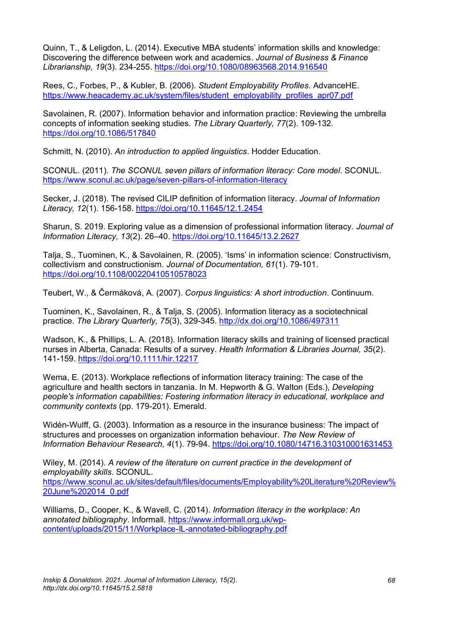Quinn, T., & Leligdon, L. (2014). Executive MBA students' information skills and knowledge: Discovering the difference between work and academics. *Journal of Business & Finance Librarianship, 19*(3). 234-255. <https://doi.org/10.1080/08963568.2014.916540>

Rees, C., Forbes, P., & Kubler, B. (2006). *Student Employability Profiles*. AdvanceHE. [https://www.heacademy.ac.uk/system/files/student\\_employability\\_profiles\\_apr07.pdf](https://www.heacademy.ac.uk/system/files/student_employability_profiles_apr07.pdf)

Savolainen, R. (2007). Information behavior and information practice: Reviewing the umbrella concepts of information seeking studies. *The Library Quarterly, 77*(2). 109-132. <https://doi.org/10.1086/517840>

Schmitt, N. (2010). *An introduction to applied linguistics*. Hodder Education.

SCONUL. (2011). *The SCONUL seven pillars of information literacy: Core model*. SCONUL. <https://www.sconul.ac.uk/page/seven-pillars-of-information-literacy>

Secker, J. (2018). The revised CILIP definition of information literacy. *Journal of Information Literacy, 12*(1). 156-158.<https://doi.org/10.11645/12.1.2454>

Sharun, S. 2019. Exploring value as a dimension of professional information literacy. *Journal of Information Literacy, 13*(2). 26–40. <https://doi.org/10.11645/13.2.2627>

Talja, S., Tuominen, K., & Savolainen, R. (2005). 'Isms' in information science: Constructivism, collectivism and constructionism. *Journal of Documentation, 61*(1). 79-101. <https://doi.org/10.1108/00220410510578023>

Teubert, W., & Čermáková, A. (2007). *Corpus linguistics: A short introduction*. Continuum.

Tuominen, K., Savolainen, R., & Talja, S. (2005). Information literacy as a sociotechnical practice. *The Library Quarterly, 75*(3), 329-345. <http://dx.doi.org/10.1086/497311>

Wadson, K., & Phillips, L. A. (2018). Information literacy skills and training of licensed practical nurses in Alberta, Canada: Results of a survey. *Health Information & Libraries Journal, 35*(2). 141-159.<https://doi.org/10.1111/hir.12217>

Wema, E. (2013). Workplace reflections of information literacy training: The case of the agriculture and health sectors in tanzania. In M. Hepworth & G. Walton (Eds.), *Developing people's information capabilities: Fostering information literacy in educational, workplace and community contexts* (pp. 179-201). Emerald.

Widén-Wulff, G. (2003). Information as a resource in the insurance business: The impact of structures and processes on organization information behaviour. *The New Review of Information Behaviour Research, 4*(1). 79-94.<https://doi.org/10.1080/14716.310310001631453>

Wiley, M. (2014). *A review of the literature on current practice in the development of employability skills*. SCONUL. [https://www.sconul.ac.uk/sites/default/files/documents/Employability%20Literature%20Review%](https://www.sconul.ac.uk/sites/default/files/documents/Employability%20Literature%20Review%20June%202014_0.pdf) [20June%202014\\_0.pdf](https://www.sconul.ac.uk/sites/default/files/documents/Employability%20Literature%20Review%20June%202014_0.pdf)

Williams, D., Cooper, K., & Wavell, C. (2014). *Information literacy in the workplace: An annotated bibliography*. Informall. [https://www.informall.org.uk/wp](https://www.informall.org.uk/wp-content/uploads/2015/11/Workplace-IL-annotated-bibliography.pdf)[content/uploads/2015/11/Workplace-IL-annotated-bibliography.pdf](https://www.informall.org.uk/wp-content/uploads/2015/11/Workplace-IL-annotated-bibliography.pdf)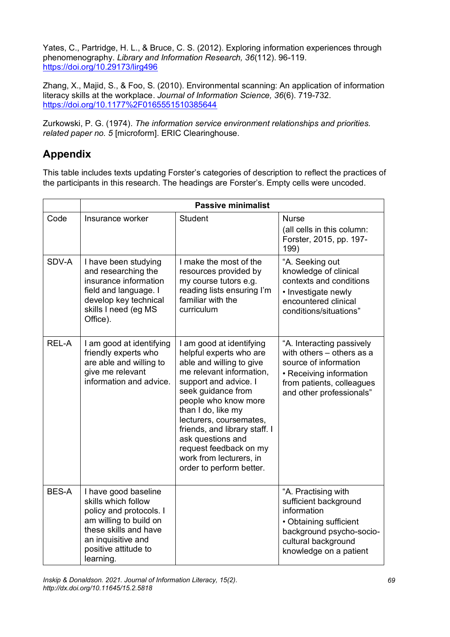Yates, C., Partridge, H. L., & Bruce, C. S. (2012). Exploring information experiences through phenomenography. *Library and Information Research, 36*(112). 96-119. <https://doi.org/10.29173/lirg496>

Zhang, X., Majid, S., & Foo, S. (2010). Environmental scanning: An application of information literacy skills at the workplace. *Journal of Information Science, 36*(6). 719-732. <https://doi.org/10.1177%2F0165551510385644>

Zurkowski, P. G. (1974). *The information service environment relationships and priorities. related paper no. 5* [microform]. ERIC Clearinghouse.

# **Appendix**

This table includes texts updating Forster's categories of description to reflect the practices of the participants in this research. The headings are Forster's. Empty cells were uncoded.

|              | <b>Passive minimalist</b>                                                                                                                                                            |                                                                                                                                                                                                                                                                                                                                                                            |                                                                                                                                                                     |  |  |
|--------------|--------------------------------------------------------------------------------------------------------------------------------------------------------------------------------------|----------------------------------------------------------------------------------------------------------------------------------------------------------------------------------------------------------------------------------------------------------------------------------------------------------------------------------------------------------------------------|---------------------------------------------------------------------------------------------------------------------------------------------------------------------|--|--|
| Code         | Insurance worker                                                                                                                                                                     | <b>Student</b>                                                                                                                                                                                                                                                                                                                                                             | <b>Nurse</b><br>(all cells in this column:<br>Forster, 2015, pp. 197-<br>199)                                                                                       |  |  |
| SDV-A        | I have been studying<br>and researching the<br>insurance information<br>field and language. I<br>develop key technical<br>skills I need (eg MS<br>Office).                           | I make the most of the<br>resources provided by<br>my course tutors e.g.<br>reading lists ensuring I'm<br>familiar with the<br>curriculum                                                                                                                                                                                                                                  | "A. Seeking out<br>knowledge of clinical<br>contexts and conditions<br>• Investigate newly<br>encountered clinical<br>conditions/situations"                        |  |  |
| REL-A        | I am good at identifying<br>friendly experts who<br>are able and willing to<br>give me relevant<br>information and advice.                                                           | I am good at identifying<br>helpful experts who are<br>able and willing to give<br>me relevant information,<br>support and advice. I<br>seek guidance from<br>people who know more<br>than I do, like my<br>lecturers, coursemates,<br>friends, and library staff. I<br>ask questions and<br>request feedback on my<br>work from lecturers, in<br>order to perform better. | "A. Interacting passively<br>with others - others as a<br>source of information<br>• Receiving information<br>from patients, colleagues<br>and other professionals" |  |  |
| <b>BES-A</b> | I have good baseline<br>skills which follow<br>policy and protocols. I<br>am willing to build on<br>these skills and have<br>an inquisitive and<br>positive attitude to<br>learning. |                                                                                                                                                                                                                                                                                                                                                                            | "A. Practising with<br>sufficient background<br>information<br>• Obtaining sufficient<br>background psycho-socio-<br>cultural background<br>knowledge on a patient  |  |  |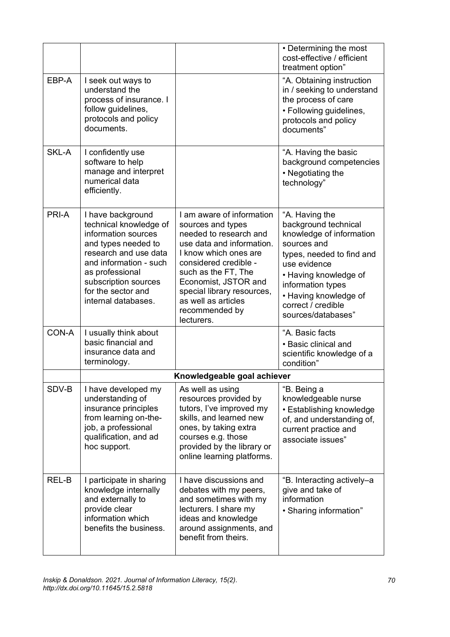|       |                                                                                                                                                                                                                                      |                                                                                                                                                                                                                                                                                             | • Determining the most<br>cost-effective / efficient<br>treatment option"                                                                                                                                                                         |
|-------|--------------------------------------------------------------------------------------------------------------------------------------------------------------------------------------------------------------------------------------|---------------------------------------------------------------------------------------------------------------------------------------------------------------------------------------------------------------------------------------------------------------------------------------------|---------------------------------------------------------------------------------------------------------------------------------------------------------------------------------------------------------------------------------------------------|
| EBP-A | I seek out ways to<br>understand the<br>process of insurance. I<br>follow guidelines,<br>protocols and policy<br>documents.                                                                                                          |                                                                                                                                                                                                                                                                                             | "A. Obtaining instruction<br>in / seeking to understand<br>the process of care<br>• Following guidelines,<br>protocols and policy<br>documents"                                                                                                   |
| SKL-A | I confidently use<br>software to help<br>manage and interpret<br>numerical data<br>efficiently.                                                                                                                                      |                                                                                                                                                                                                                                                                                             | "A. Having the basic<br>background competencies<br>• Negotiating the<br>technology"                                                                                                                                                               |
| PRI-A | I have background<br>technical knowledge of<br>information sources<br>and types needed to<br>research and use data<br>and information - such<br>as professional<br>subscription sources<br>for the sector and<br>internal databases. | I am aware of information<br>sources and types<br>needed to research and<br>use data and information.<br>I know which ones are<br>considered credible -<br>such as the FT, The<br>Economist, JSTOR and<br>special library resources,<br>as well as articles<br>recommended by<br>lecturers. | "A. Having the<br>background technical<br>knowledge of information<br>sources and<br>types, needed to find and<br>use evidence<br>• Having knowledge of<br>information types<br>• Having knowledge of<br>correct / credible<br>sources/databases" |
| CON-A | I usually think about<br>basic financial and<br>insurance data and<br>terminology.                                                                                                                                                   |                                                                                                                                                                                                                                                                                             | "A. Basic facts<br>• Basic clinical and<br>scientific knowledge of a<br>condition"                                                                                                                                                                |
|       |                                                                                                                                                                                                                                      | Knowledgeable goal achiever                                                                                                                                                                                                                                                                 |                                                                                                                                                                                                                                                   |
| SDV-B | I have developed my<br>understanding of<br>insurance principles<br>from learning on-the-<br>job, a professional<br>qualification, and ad<br>hoc support.                                                                             | As well as using<br>resources provided by<br>tutors, I've improved my<br>skills, and learned new<br>ones, by taking extra<br>courses e.g. those<br>provided by the library or<br>online learning platforms.                                                                                 | "B. Being a<br>knowledgeable nurse<br>• Establishing knowledge<br>of, and understanding of,<br>current practice and<br>associate issues"                                                                                                          |
| REL-B | I participate in sharing<br>knowledge internally<br>and externally to<br>provide clear<br>information which<br>benefits the business.                                                                                                | I have discussions and<br>debates with my peers,<br>and sometimes with my<br>lecturers. I share my<br>ideas and knowledge<br>around assignments, and<br>benefit from theirs.                                                                                                                | "B. Interacting actively-a<br>give and take of<br>information<br>• Sharing information"                                                                                                                                                           |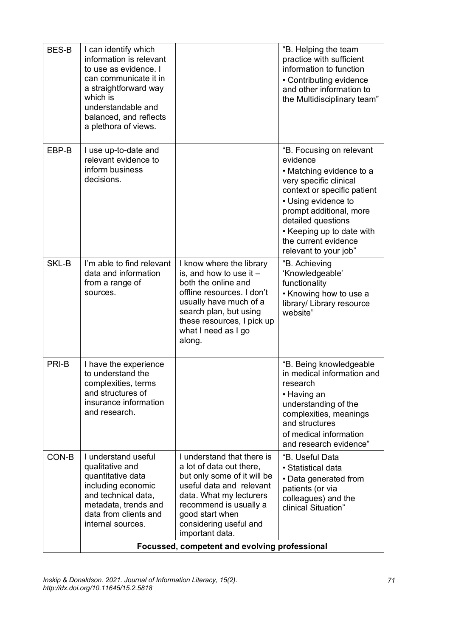| <b>BES-B</b> | I can identify which<br>information is relevant<br>to use as evidence. I<br>can communicate it in<br>a straightforward way<br>which is<br>understandable and<br>balanced, and reflects<br>a plethora of views. |                                                                                                                                                                                                                                        | "B. Helping the team<br>practice with sufficient<br>information to function<br>• Contributing evidence<br>and other information to<br>the Multidisciplinary team"                                                                                                               |  |
|--------------|----------------------------------------------------------------------------------------------------------------------------------------------------------------------------------------------------------------|----------------------------------------------------------------------------------------------------------------------------------------------------------------------------------------------------------------------------------------|---------------------------------------------------------------------------------------------------------------------------------------------------------------------------------------------------------------------------------------------------------------------------------|--|
| EBP-B        | I use up-to-date and<br>relevant evidence to<br>inform business<br>decisions.                                                                                                                                  |                                                                                                                                                                                                                                        | "B. Focusing on relevant<br>evidence<br>• Matching evidence to a<br>very specific clinical<br>context or specific patient<br>• Using evidence to<br>prompt additional, more<br>detailed questions<br>• Keeping up to date with<br>the current evidence<br>relevant to your job" |  |
| SKL-B        | I'm able to find relevant<br>data and information<br>from a range of<br>sources.                                                                                                                               | I know where the library<br>is, and how to use it $-$<br>both the online and<br>offline resources. I don't<br>usually have much of a<br>search plan, but using<br>these resources, I pick up<br>what I need as I go<br>along.          | "B. Achieving<br>'Knowledgeable'<br>functionality<br>• Knowing how to use a<br>library/ Library resource<br>website"                                                                                                                                                            |  |
| PRI-B        | I have the experience<br>to understand the<br>complexities, terms<br>and structures of<br>insurance information<br>and research.                                                                               |                                                                                                                                                                                                                                        | "B. Being knowledgeable<br>in medical information and<br>research<br>• Having an<br>understanding of the<br>complexities, meanings<br>and structures<br>of medical information<br>and research evidence"                                                                        |  |
| CON-B        | I understand useful<br>qualitative and<br>quantitative data<br>including economic<br>and technical data,<br>metadata, trends and<br>data from clients and<br>internal sources.                                 | I understand that there is<br>a lot of data out there,<br>but only some of it will be<br>useful data and relevant<br>data. What my lecturers<br>recommend is usually a<br>good start when<br>considering useful and<br>important data. | "B. Useful Data<br>• Statistical data<br>• Data generated from<br>patients (or via<br>colleagues) and the<br>clinical Situation"                                                                                                                                                |  |
|              | Focussed, competent and evolving professional                                                                                                                                                                  |                                                                                                                                                                                                                                        |                                                                                                                                                                                                                                                                                 |  |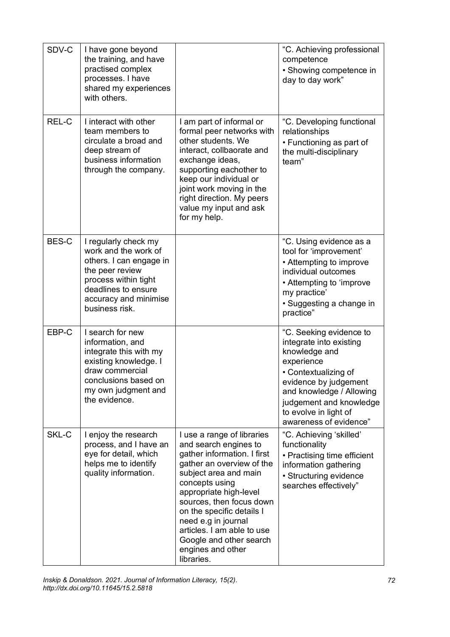| SDV-C        | I have gone beyond<br>the training, and have<br>practised complex<br>processes. I have<br>shared my experiences<br>with others.                                                      |                                                                                                                                                                                                                                                                                                                                                                  | "C. Achieving professional<br>competence<br>• Showing competence in<br>day to day work"                                                                                                                                                      |
|--------------|--------------------------------------------------------------------------------------------------------------------------------------------------------------------------------------|------------------------------------------------------------------------------------------------------------------------------------------------------------------------------------------------------------------------------------------------------------------------------------------------------------------------------------------------------------------|----------------------------------------------------------------------------------------------------------------------------------------------------------------------------------------------------------------------------------------------|
| REL-C        | I interact with other<br>team members to<br>circulate a broad and<br>deep stream of<br>business information<br>through the company.                                                  | I am part of informal or<br>formal peer networks with<br>other students. We<br>interact, collbaorate and<br>exchange ideas,<br>supporting eachother to<br>keep our individual or<br>joint work moving in the<br>right direction. My peers<br>value my input and ask<br>for my help.                                                                              | "C. Developing functional<br>relationships<br>• Functioning as part of<br>the multi-disciplinary<br>team"                                                                                                                                    |
| <b>BES-C</b> | I regularly check my<br>work and the work of<br>others. I can engage in<br>the peer review<br>process within tight<br>deadlines to ensure<br>accuracy and minimise<br>business risk. |                                                                                                                                                                                                                                                                                                                                                                  | "C. Using evidence as a<br>tool for 'improvement'<br>• Attempting to improve<br>individual outcomes<br>• Attempting to 'improve<br>my practice'<br>· Suggesting a change in<br>practice"                                                     |
| EBP-C        | I search for new<br>information, and<br>integrate this with my<br>existing knowledge. I<br>draw commercial<br>conclusions based on<br>my own judgment and<br>the evidence.           |                                                                                                                                                                                                                                                                                                                                                                  | "C. Seeking evidence to<br>integrate into existing<br>knowledge and<br>experience<br>• Contextualizing of<br>evidence by judgement<br>and knowledge / Allowing<br>judgement and knowledge<br>to evolve in light of<br>awareness of evidence" |
| SKL-C        | I enjoy the research<br>process, and I have an<br>eye for detail, which<br>helps me to identify<br>quality information.                                                              | I use a range of libraries<br>and search engines to<br>gather information. I first<br>gather an overview of the<br>subject area and main<br>concepts using<br>appropriate high-level<br>sources, then focus down<br>on the specific details I<br>need e.g in journal<br>articles. I am able to use<br>Google and other search<br>engines and other<br>libraries. | "C. Achieving 'skilled'<br>functionality<br>• Practising time efficient<br>information gathering<br>• Structuring evidence<br>searches effectively"                                                                                          |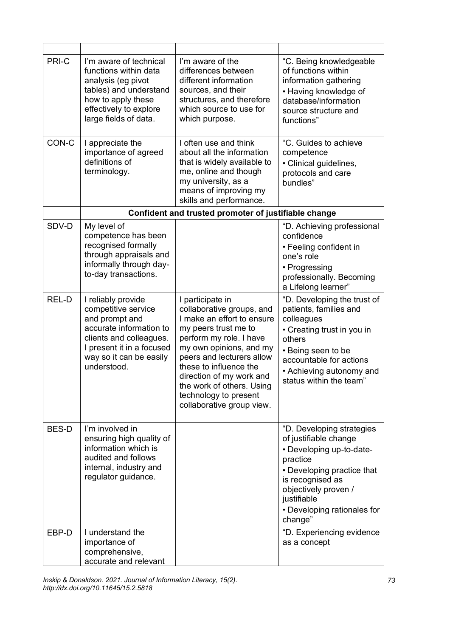| PRI-C        | I'm aware of technical<br>functions within data<br>analysis (eg pivot<br>tables) and understand<br>how to apply these<br>effectively to explore<br>large fields of data.                 | I'm aware of the<br>differences between<br>different information<br>sources, and their<br>structures, and therefore<br>which source to use for<br>which purpose.                                                                                                                                                                | "C. Being knowledgeable<br>of functions within<br>information gathering<br>• Having knowledge of<br>database/information<br>source structure and<br>functions"                                                                |
|--------------|------------------------------------------------------------------------------------------------------------------------------------------------------------------------------------------|---------------------------------------------------------------------------------------------------------------------------------------------------------------------------------------------------------------------------------------------------------------------------------------------------------------------------------|-------------------------------------------------------------------------------------------------------------------------------------------------------------------------------------------------------------------------------|
| CON-C        | I appreciate the<br>importance of agreed<br>definitions of<br>terminology.                                                                                                               | I often use and think<br>about all the information<br>that is widely available to<br>me, online and though<br>my university, as a<br>means of improving my<br>skills and performance.                                                                                                                                           | "C. Guides to achieve<br>competence<br>• Clinical guidelines,<br>protocols and care<br>bundles"                                                                                                                               |
|              | Confident and trusted promoter of justifiable change                                                                                                                                     |                                                                                                                                                                                                                                                                                                                                 |                                                                                                                                                                                                                               |
| SDV-D        | My level of<br>competence has been<br>recognised formally<br>through appraisals and<br>informally through day-<br>to-day transactions.                                                   |                                                                                                                                                                                                                                                                                                                                 | "D. Achieving professional<br>confidence<br>• Feeling confident in<br>one's role<br>• Progressing<br>professionally. Becoming<br>a Lifelong learner"                                                                          |
| REL-D        | I reliably provide<br>competitive service<br>and prompt and<br>accurate information to<br>clients and colleagues.<br>I present it in a focused<br>way so it can be easily<br>understood. | I participate in<br>collaborative groups, and<br>I make an effort to ensure<br>my peers trust me to<br>perform my role. I have<br>my own opinions, and my<br>peers and lecturers allow<br>these to influence the<br>direction of my work and<br>the work of others. Using<br>technology to present<br>collaborative group view. | "D. Developing the trust of<br>patients, families and<br>colleagues<br>• Creating trust in you in<br>others<br>• Being seen to be<br>accountable for actions<br>• Achieving autonomy and<br>status within the team"           |
| <b>BES-D</b> | I'm involved in<br>ensuring high quality of<br>information which is<br>audited and follows<br>internal, industry and<br>regulator guidance.                                              |                                                                                                                                                                                                                                                                                                                                 | "D. Developing strategies<br>of justifiable change<br>• Developing up-to-date-<br>practice<br>• Developing practice that<br>is recognised as<br>objectively proven /<br>justifiable<br>• Developing rationales for<br>change" |
| EBP-D        | I understand the<br>importance of<br>comprehensive,<br>accurate and relevant                                                                                                             |                                                                                                                                                                                                                                                                                                                                 | "D. Experiencing evidence<br>as a concept                                                                                                                                                                                     |

*Inskip & Donaldson. 2021. Journal of Information Literacy, 15(2). http://dx.doi.org/10.11645/15.2.5818*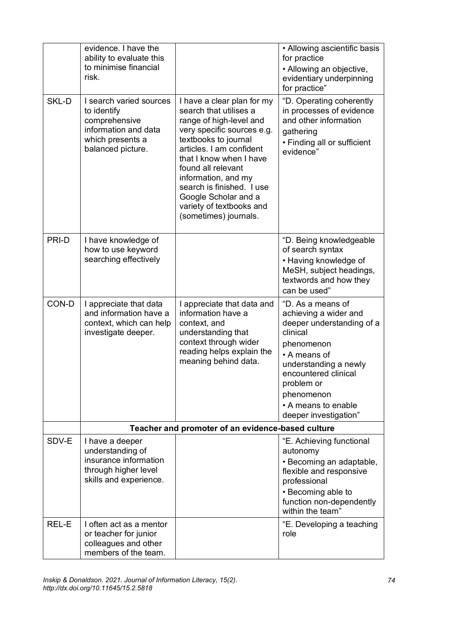|       | evidence. I have the<br>ability to evaluate this<br>to minimise financial<br>risk.                                       |                                                                                                                                                                                                                                                                                                                                                     | • Allowing ascientific basis<br>for practice<br>• Allowing an objective,<br>evidentiary underpinning<br>for practice"                                                                                                                          |
|-------|--------------------------------------------------------------------------------------------------------------------------|-----------------------------------------------------------------------------------------------------------------------------------------------------------------------------------------------------------------------------------------------------------------------------------------------------------------------------------------------------|------------------------------------------------------------------------------------------------------------------------------------------------------------------------------------------------------------------------------------------------|
| SKL-D | I search varied sources<br>to identify<br>comprehensive<br>information and data<br>which presents a<br>balanced picture. | I have a clear plan for my<br>search that utilises a<br>range of high-level and<br>very specific sources e.g.<br>textbooks to journal<br>articles. I am confident<br>that I know when I have<br>found all relevant<br>information, and my<br>search is finished. I use<br>Google Scholar and a<br>variety of textbooks and<br>(sometimes) journals. | "D. Operating coherently<br>in processes of evidence<br>and other information<br>gathering<br>• Finding all or sufficient<br>evidence"                                                                                                         |
| PRI-D | I have knowledge of<br>how to use keyword<br>searching effectively                                                       |                                                                                                                                                                                                                                                                                                                                                     | "D. Being knowledgeable<br>of search syntax<br>• Having knowledge of<br>MeSH, subject headings,<br>textwords and how they<br>can be used"                                                                                                      |
| CON-D | I appreciate that data<br>and information have a<br>context, which can help<br>investigate deeper.                       | I appreciate that data and<br>information have a<br>context, and<br>understanding that<br>context through wider<br>reading helps explain the<br>meaning behind data.                                                                                                                                                                                | "D. As a means of<br>achieving a wider and<br>deeper understanding of a<br>clinical<br>phenomenon<br>• A means of<br>understanding a newly<br>encountered clinical<br>problem or<br>phenomenon<br>• A means to enable<br>deeper investigation" |
|       | Teacher and promoter of an evidence-based culture                                                                        |                                                                                                                                                                                                                                                                                                                                                     |                                                                                                                                                                                                                                                |
| SDV-E | I have a deeper<br>understanding of<br>insurance information<br>through higher level<br>skills and experience.           |                                                                                                                                                                                                                                                                                                                                                     | "E. Achieving functional<br>autonomy<br>· Becoming an adaptable,<br>flexible and responsive<br>professional<br>• Becoming able to<br>function non-dependently<br>within the team"                                                              |
| REL-E | I often act as a mentor<br>or teacher for junior<br>colleagues and other<br>members of the team.                         |                                                                                                                                                                                                                                                                                                                                                     | "E. Developing a teaching<br>role                                                                                                                                                                                                              |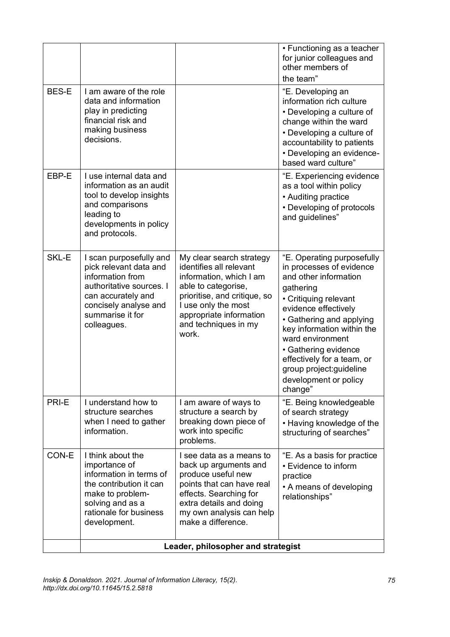|              |                                                                                                                                                                                     |                                                                                                                                                                                                                          | • Functioning as a teacher<br>for junior colleagues and<br>other members of<br>the team"                                                                                                                                                                                                                                                          |
|--------------|-------------------------------------------------------------------------------------------------------------------------------------------------------------------------------------|--------------------------------------------------------------------------------------------------------------------------------------------------------------------------------------------------------------------------|---------------------------------------------------------------------------------------------------------------------------------------------------------------------------------------------------------------------------------------------------------------------------------------------------------------------------------------------------|
| <b>BES-E</b> | I am aware of the role<br>data and information<br>play in predicting<br>financial risk and<br>making business<br>decisions.                                                         |                                                                                                                                                                                                                          | "E. Developing an<br>information rich culture<br>• Developing a culture of<br>change within the ward<br>• Developing a culture of<br>accountability to patients<br>• Developing an evidence-<br>based ward culture"                                                                                                                               |
| EBP-E        | I use internal data and<br>information as an audit<br>tool to develop insights<br>and comparisons<br>leading to<br>developments in policy<br>and protocols.                         |                                                                                                                                                                                                                          | "E. Experiencing evidence<br>as a tool within policy<br>• Auditing practice<br>• Developing of protocols<br>and guidelines"                                                                                                                                                                                                                       |
| SKL-E        | I scan purposefully and<br>pick relevant data and<br>information from<br>authoritative sources. I<br>can accurately and<br>concisely analyse and<br>summarise it for<br>colleagues. | My clear search strategy<br>identifies all relevant<br>information, which I am<br>able to categorise,<br>prioritise, and critique, so<br>I use only the most<br>appropriate information<br>and techniques in my<br>work. | "E. Operating purposefully<br>in processes of evidence<br>and other information<br>gathering<br>• Critiquing relevant<br>evidence effectively<br>• Gathering and applying<br>key information within the<br>ward environment<br>• Gathering evidence<br>effectively for a team, or<br>group project: guideline<br>development or policy<br>change" |
| PRI-E        | I understand how to<br>structure searches<br>when I need to gather<br>information.                                                                                                  | I am aware of ways to<br>structure a search by<br>breaking down piece of<br>work into specific<br>problems.                                                                                                              | "E. Being knowledgeable<br>of search strategy<br>• Having knowledge of the<br>structuring of searches"                                                                                                                                                                                                                                            |
| CON-E        | I think about the<br>importance of<br>information in terms of<br>the contribution it can<br>make to problem-<br>solving and as a<br>rationale for business<br>development.          | I see data as a means to<br>back up arguments and<br>produce useful new<br>points that can have real<br>effects. Searching for<br>extra details and doing<br>my own analysis can help<br>make a difference.              | "E. As a basis for practice<br>• Evidence to inform<br>practice<br>• A means of developing<br>relationships"                                                                                                                                                                                                                                      |
|              | Leader, philosopher and strategist                                                                                                                                                  |                                                                                                                                                                                                                          |                                                                                                                                                                                                                                                                                                                                                   |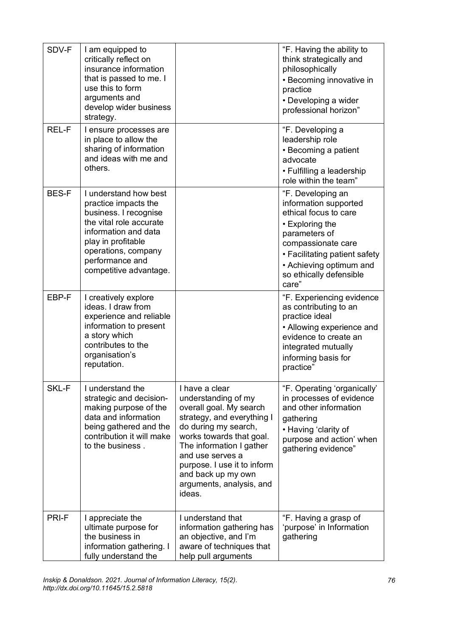| SDV-F        | I am equipped to<br>critically reflect on<br>insurance information<br>that is passed to me. I<br>use this to form<br>arguments and<br>develop wider business<br>strategy.                                           |                                                                                                                                                                                                                                                                                               | "F. Having the ability to<br>think strategically and<br>philosophically<br>• Becoming innovative in<br>practice<br>• Developing a wider<br>professional horizon"                                                              |
|--------------|---------------------------------------------------------------------------------------------------------------------------------------------------------------------------------------------------------------------|-----------------------------------------------------------------------------------------------------------------------------------------------------------------------------------------------------------------------------------------------------------------------------------------------|-------------------------------------------------------------------------------------------------------------------------------------------------------------------------------------------------------------------------------|
| <b>REL-F</b> | I ensure processes are<br>in place to allow the<br>sharing of information<br>and ideas with me and<br>others.                                                                                                       |                                                                                                                                                                                                                                                                                               | "F. Developing a<br>leadership role<br>• Becoming a patient<br>advocate<br>• Fulfilling a leadership<br>role within the team"                                                                                                 |
| <b>BES-F</b> | I understand how best<br>practice impacts the<br>business. I recognise<br>the vital role accurate<br>information and data<br>play in profitable<br>operations, company<br>performance and<br>competitive advantage. |                                                                                                                                                                                                                                                                                               | "F. Developing an<br>information supported<br>ethical focus to care<br>• Exploring the<br>parameters of<br>compassionate care<br>• Facilitating patient safety<br>• Achieving optimum and<br>so ethically defensible<br>care" |
| EBP-F        | I creatively explore<br>ideas. I draw from<br>experience and reliable<br>information to present<br>a story which<br>contributes to the<br>organisation's<br>reputation.                                             |                                                                                                                                                                                                                                                                                               | "F. Experiencing evidence<br>as contributing to an<br>practice ideal<br>• Allowing experience and<br>evidence to create an<br>integrated mutually<br>informing basis for<br>practice"                                         |
| SKL-F        | I understand the<br>strategic and decision-<br>making purpose of the<br>data and information<br>being gathered and the<br>contribution it will make<br>to the business.                                             | I have a clear<br>understanding of my<br>overall goal. My search<br>strategy, and everything I<br>do during my search,<br>works towards that goal.<br>The information I gather<br>and use serves a<br>purpose. I use it to inform<br>and back up my own<br>arguments, analysis, and<br>ideas. | "F. Operating 'organically'<br>in processes of evidence<br>and other information<br>gathering<br>• Having 'clarity of<br>purpose and action' when<br>gathering evidence"                                                      |
| PRI-F        | I appreciate the<br>ultimate purpose for<br>the business in<br>information gathering. I<br>fully understand the                                                                                                     | I understand that<br>information gathering has<br>an objective, and I'm<br>aware of techniques that<br>help pull arguments                                                                                                                                                                    | "F. Having a grasp of<br>'purpose' in Information<br>gathering                                                                                                                                                                |